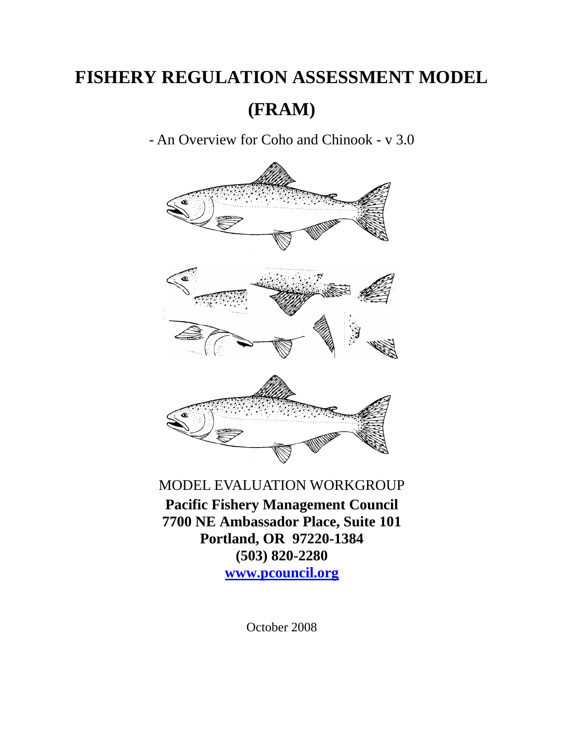# **FISHERY REGULATION ASSESSMENT MODEL**

**(FRAM)** 

- An Overview for Coho and Chinook - v 3.0



## MODEL EVALUATION WORKGROUP

**Pacific Fishery Management Council 7700 NE Ambassador Place, Suite 101 Portland, OR 97220-1384 (503) 820-2280 www.pcouncil.org**

October 2008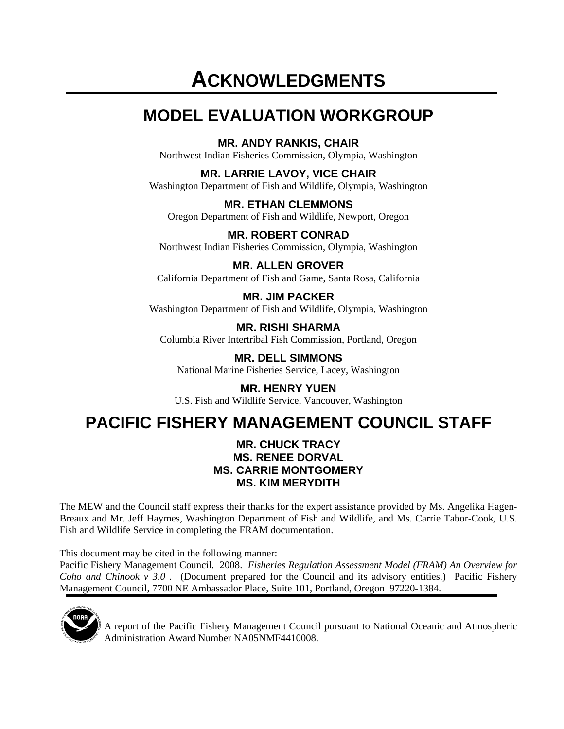# **ACKNOWLEDGMENTS**

# **MODEL EVALUATION WORKGROUP**

**MR. ANDY RANKIS, CHAIR** 

Northwest Indian Fisheries Commission, Olympia, Washington

**MR. LARRIE LAVOY, VICE CHAIR** 

Washington Department of Fish and Wildlife, Olympia, Washington

**MR. ETHAN CLEMMONS**  Oregon Department of Fish and Wildlife, Newport, Oregon

**MR. ROBERT CONRAD**  Northwest Indian Fisheries Commission, Olympia, Washington

**MR. ALLEN GROVER**  California Department of Fish and Game, Santa Rosa, California

**MR. JIM PACKER**  Washington Department of Fish and Wildlife, Olympia, Washington

**MR. RISHI SHARMA**  Columbia River Intertribal Fish Commission, Portland, Oregon

**MR. DELL SIMMONS**  National Marine Fisheries Service, Lacey, Washington

**MR. HENRY YUEN**  U.S. Fish and Wildlife Service, Vancouver, Washington

# **PACIFIC FISHERY MANAGEMENT COUNCIL STAFF**

#### **MR. CHUCK TRACY MS. RENEE DORVAL MS. CARRIE MONTGOMERY MS. KIM MERYDITH**

The MEW and the Council staff express their thanks for the expert assistance provided by Ms. Angelika Hagen-Breaux and Mr. Jeff Haymes, Washington Department of Fish and Wildlife, and Ms. Carrie Tabor-Cook, U.S. Fish and Wildlife Service in completing the FRAM documentation.

This document may be cited in the following manner:

Pacific Fishery Management Council. 2008. *Fisheries Regulation Assessment Model (FRAM) An Overview for Coho and Chinook v 3.0 .* (Document prepared for the Council and its advisory entities.) Pacific Fishery Management Council, 7700 NE Ambassador Place, Suite 101, Portland, Oregon 97220-1384.



A report of the Pacific Fishery Management Council pursuant to National Oceanic and Atmospheric Administration Award Number NA05NMF4410008.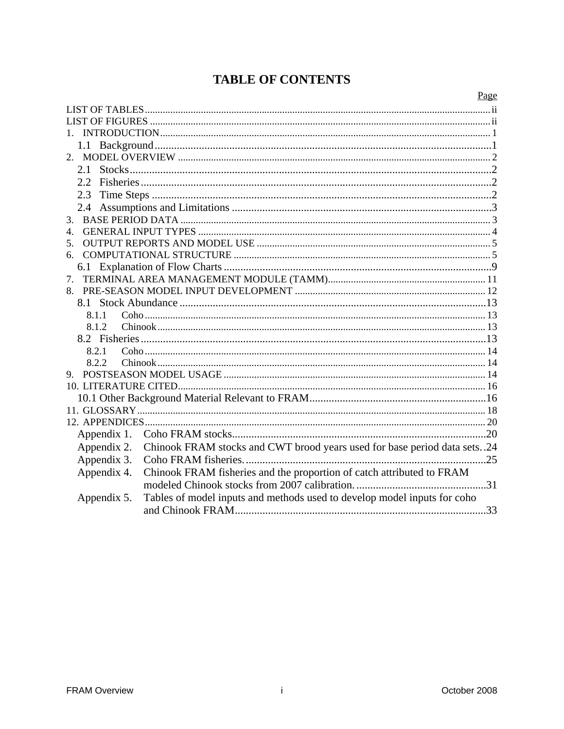## **TABLE OF CONTENTS**

|                | Page                                                                        |  |  |  |
|----------------|-----------------------------------------------------------------------------|--|--|--|
|                |                                                                             |  |  |  |
|                |                                                                             |  |  |  |
|                |                                                                             |  |  |  |
|                |                                                                             |  |  |  |
|                |                                                                             |  |  |  |
| 2.1            |                                                                             |  |  |  |
| 2.2.           |                                                                             |  |  |  |
| 2.3            |                                                                             |  |  |  |
| 2.4            |                                                                             |  |  |  |
| 3.             |                                                                             |  |  |  |
| $\overline{4}$ |                                                                             |  |  |  |
| 5.             |                                                                             |  |  |  |
| 6.             |                                                                             |  |  |  |
|                |                                                                             |  |  |  |
| 7.             |                                                                             |  |  |  |
|                |                                                                             |  |  |  |
| 8.1            |                                                                             |  |  |  |
| 8.1.1          |                                                                             |  |  |  |
| 8.1.2          |                                                                             |  |  |  |
|                |                                                                             |  |  |  |
| 8.2.1          |                                                                             |  |  |  |
| 8.2.2          |                                                                             |  |  |  |
| 9.             |                                                                             |  |  |  |
|                |                                                                             |  |  |  |
|                |                                                                             |  |  |  |
|                |                                                                             |  |  |  |
|                |                                                                             |  |  |  |
| Appendix 1.    |                                                                             |  |  |  |
| Appendix 2.    | Chinook FRAM stocks and CWT brood years used for base period data sets. .24 |  |  |  |
| Appendix 3.    | . 25                                                                        |  |  |  |
| Appendix 4.    | Chinook FRAM fisheries and the proportion of catch attributed to FRAM       |  |  |  |
|                |                                                                             |  |  |  |
| Appendix 5.    | Tables of model inputs and methods used to develop model inputs for coho    |  |  |  |
|                |                                                                             |  |  |  |
|                |                                                                             |  |  |  |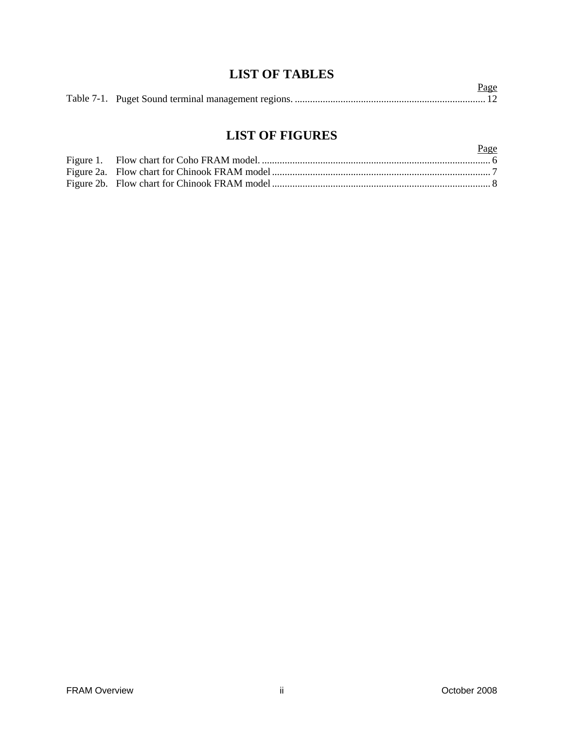### **LIST OF TABLES**

|  | <u>Page</u> |
|--|-------------|
|  |             |

## **LIST OF FIGURES**

|  | Page |
|--|------|
|  |      |
|  |      |
|  |      |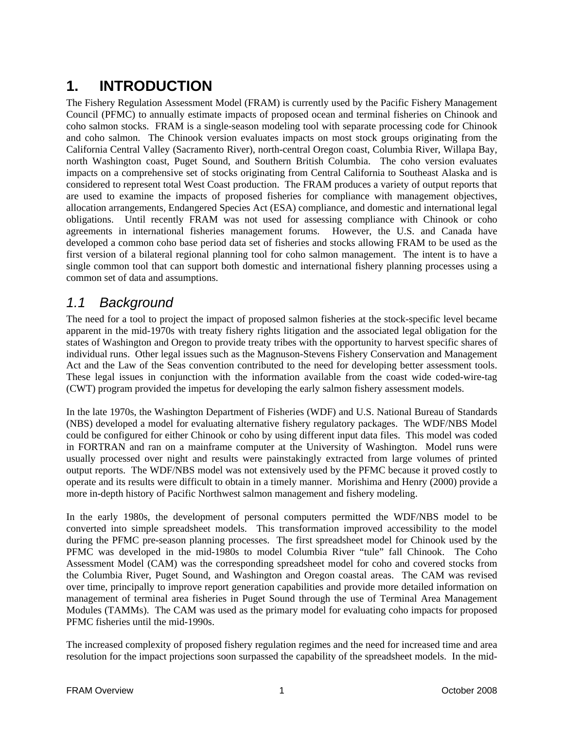## **1. INTRODUCTION**

The Fishery Regulation Assessment Model (FRAM) is currently used by the Pacific Fishery Management Council (PFMC) to annually estimate impacts of proposed ocean and terminal fisheries on Chinook and coho salmon stocks. FRAM is a single-season modeling tool with separate processing code for Chinook and coho salmon. The Chinook version evaluates impacts on most stock groups originating from the California Central Valley (Sacramento River), north-central Oregon coast, Columbia River, Willapa Bay, north Washington coast, Puget Sound, and Southern British Columbia. The coho version evaluates impacts on a comprehensive set of stocks originating from Central California to Southeast Alaska and is considered to represent total West Coast production. The FRAM produces a variety of output reports that are used to examine the impacts of proposed fisheries for compliance with management objectives, allocation arrangements, Endangered Species Act (ESA) compliance, and domestic and international legal obligations. Until recently FRAM was not used for assessing compliance with Chinook or coho agreements in international fisheries management forums. However, the U.S. and Canada have developed a common coho base period data set of fisheries and stocks allowing FRAM to be used as the first version of a bilateral regional planning tool for coho salmon management. The intent is to have a single common tool that can support both domestic and international fishery planning processes using a common set of data and assumptions.

## *1.1 Background*

The need for a tool to project the impact of proposed salmon fisheries at the stock-specific level became apparent in the mid-1970s with treaty fishery rights litigation and the associated legal obligation for the states of Washington and Oregon to provide treaty tribes with the opportunity to harvest specific shares of individual runs. Other legal issues such as the Magnuson-Stevens Fishery Conservation and Management Act and the Law of the Seas convention contributed to the need for developing better assessment tools. These legal issues in conjunction with the information available from the coast wide coded-wire-tag (CWT) program provided the impetus for developing the early salmon fishery assessment models.

In the late 1970s, the Washington Department of Fisheries (WDF) and U.S. National Bureau of Standards (NBS) developed a model for evaluating alternative fishery regulatory packages. The WDF/NBS Model could be configured for either Chinook or coho by using different input data files. This model was coded in FORTRAN and ran on a mainframe computer at the University of Washington. Model runs were usually processed over night and results were painstakingly extracted from large volumes of printed output reports. The WDF/NBS model was not extensively used by the PFMC because it proved costly to operate and its results were difficult to obtain in a timely manner. Morishima and Henry (2000) provide a more in-depth history of Pacific Northwest salmon management and fishery modeling.

In the early 1980s, the development of personal computers permitted the WDF/NBS model to be converted into simple spreadsheet models. This transformation improved accessibility to the model during the PFMC pre-season planning processes. The first spreadsheet model for Chinook used by the PFMC was developed in the mid-1980s to model Columbia River "tule" fall Chinook. The Coho Assessment Model (CAM) was the corresponding spreadsheet model for coho and covered stocks from the Columbia River, Puget Sound, and Washington and Oregon coastal areas. The CAM was revised over time, principally to improve report generation capabilities and provide more detailed information on management of terminal area fisheries in Puget Sound through the use of Terminal Area Management Modules (TAMMs). The CAM was used as the primary model for evaluating coho impacts for proposed PFMC fisheries until the mid-1990s.

The increased complexity of proposed fishery regulation regimes and the need for increased time and area resolution for the impact projections soon surpassed the capability of the spreadsheet models. In the mid-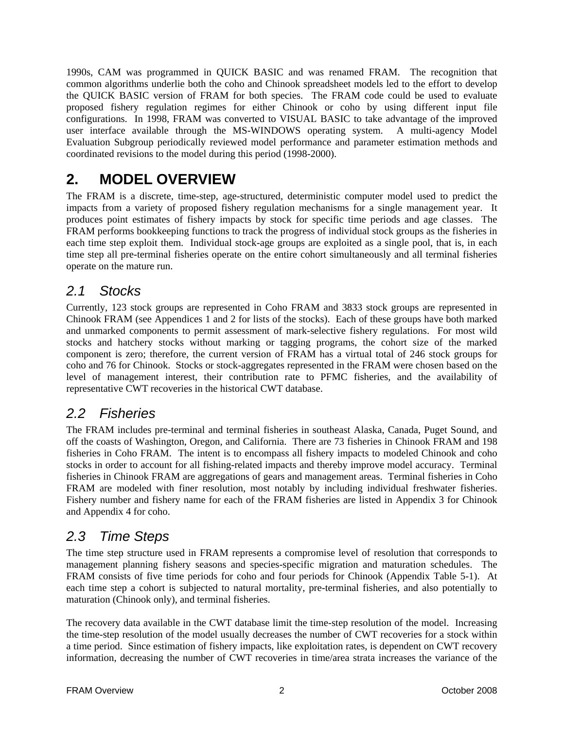1990s, CAM was programmed in QUICK BASIC and was renamed FRAM. The recognition that common algorithms underlie both the coho and Chinook spreadsheet models led to the effort to develop the QUICK BASIC version of FRAM for both species. The FRAM code could be used to evaluate proposed fishery regulation regimes for either Chinook or coho by using different input file configurations. In 1998, FRAM was converted to VISUAL BASIC to take advantage of the improved user interface available through the MS-WINDOWS operating system. A multi-agency Model Evaluation Subgroup periodically reviewed model performance and parameter estimation methods and coordinated revisions to the model during this period (1998-2000).

## **2. MODEL OVERVIEW**

The FRAM is a discrete, time-step, age-structured, deterministic computer model used to predict the impacts from a variety of proposed fishery regulation mechanisms for a single management year. It produces point estimates of fishery impacts by stock for specific time periods and age classes. The FRAM performs bookkeeping functions to track the progress of individual stock groups as the fisheries in each time step exploit them. Individual stock-age groups are exploited as a single pool, that is, in each time step all pre-terminal fisheries operate on the entire cohort simultaneously and all terminal fisheries operate on the mature run.

### *2.1 Stocks*

Currently, 123 stock groups are represented in Coho FRAM and 3833 stock groups are represented in Chinook FRAM (see Appendices 1 and 2 for lists of the stocks). Each of these groups have both marked and unmarked components to permit assessment of mark-selective fishery regulations. For most wild stocks and hatchery stocks without marking or tagging programs, the cohort size of the marked component is zero; therefore, the current version of FRAM has a virtual total of 246 stock groups for coho and 76 for Chinook. Stocks or stock-aggregates represented in the FRAM were chosen based on the level of management interest, their contribution rate to PFMC fisheries, and the availability of representative CWT recoveries in the historical CWT database.

## *2.2 Fisheries*

The FRAM includes pre-terminal and terminal fisheries in southeast Alaska, Canada, Puget Sound, and off the coasts of Washington, Oregon, and California. There are 73 fisheries in Chinook FRAM and 198 fisheries in Coho FRAM. The intent is to encompass all fishery impacts to modeled Chinook and coho stocks in order to account for all fishing-related impacts and thereby improve model accuracy. Terminal fisheries in Chinook FRAM are aggregations of gears and management areas. Terminal fisheries in Coho FRAM are modeled with finer resolution, most notably by including individual freshwater fisheries. Fishery number and fishery name for each of the FRAM fisheries are listed in Appendix 3 for Chinook and Appendix 4 for coho.

## *2.3 Time Steps*

The time step structure used in FRAM represents a compromise level of resolution that corresponds to management planning fishery seasons and species-specific migration and maturation schedules. The FRAM consists of five time periods for coho and four periods for Chinook (Appendix Table 5-1). At each time step a cohort is subjected to natural mortality, pre-terminal fisheries, and also potentially to maturation (Chinook only), and terminal fisheries.

The recovery data available in the CWT database limit the time-step resolution of the model. Increasing the time-step resolution of the model usually decreases the number of CWT recoveries for a stock within a time period. Since estimation of fishery impacts, like exploitation rates, is dependent on CWT recovery information, decreasing the number of CWT recoveries in time/area strata increases the variance of the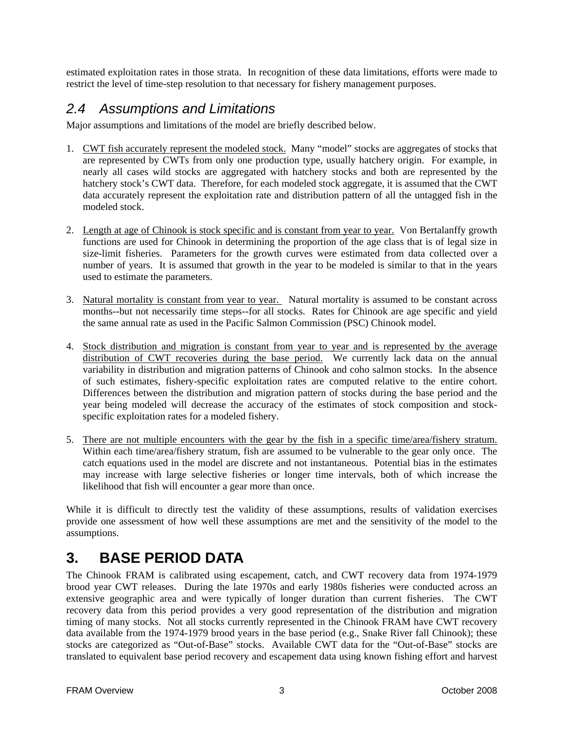estimated exploitation rates in those strata. In recognition of these data limitations, efforts were made to restrict the level of time-step resolution to that necessary for fishery management purposes.

### *2.4 Assumptions and Limitations*

Major assumptions and limitations of the model are briefly described below.

- 1. CWT fish accurately represent the modeled stock. Many "model" stocks are aggregates of stocks that are represented by CWTs from only one production type, usually hatchery origin. For example, in nearly all cases wild stocks are aggregated with hatchery stocks and both are represented by the hatchery stock's CWT data. Therefore, for each modeled stock aggregate, it is assumed that the CWT data accurately represent the exploitation rate and distribution pattern of all the untagged fish in the modeled stock.
- 2. Length at age of Chinook is stock specific and is constant from year to year. Von Bertalanffy growth functions are used for Chinook in determining the proportion of the age class that is of legal size in size-limit fisheries. Parameters for the growth curves were estimated from data collected over a number of years. It is assumed that growth in the year to be modeled is similar to that in the years used to estimate the parameters.
- 3. Natural mortality is constant from year to year. Natural mortality is assumed to be constant across months--but not necessarily time steps--for all stocks. Rates for Chinook are age specific and yield the same annual rate as used in the Pacific Salmon Commission (PSC) Chinook model.
- 4. Stock distribution and migration is constant from year to year and is represented by the average distribution of CWT recoveries during the base period. We currently lack data on the annual variability in distribution and migration patterns of Chinook and coho salmon stocks. In the absence of such estimates, fishery-specific exploitation rates are computed relative to the entire cohort. Differences between the distribution and migration pattern of stocks during the base period and the year being modeled will decrease the accuracy of the estimates of stock composition and stockspecific exploitation rates for a modeled fishery.
- 5. There are not multiple encounters with the gear by the fish in a specific time/area/fishery stratum. Within each time/area/fishery stratum, fish are assumed to be vulnerable to the gear only once. The catch equations used in the model are discrete and not instantaneous. Potential bias in the estimates may increase with large selective fisheries or longer time intervals, both of which increase the likelihood that fish will encounter a gear more than once.

While it is difficult to directly test the validity of these assumptions, results of validation exercises provide one assessment of how well these assumptions are met and the sensitivity of the model to the assumptions.

## **3. BASE PERIOD DATA**

The Chinook FRAM is calibrated using escapement, catch, and CWT recovery data from 1974-1979 brood year CWT releases. During the late 1970s and early 1980s fisheries were conducted across an extensive geographic area and were typically of longer duration than current fisheries. The CWT recovery data from this period provides a very good representation of the distribution and migration timing of many stocks. Not all stocks currently represented in the Chinook FRAM have CWT recovery data available from the 1974-1979 brood years in the base period (e.g., Snake River fall Chinook); these stocks are categorized as "Out-of-Base" stocks. Available CWT data for the "Out-of-Base" stocks are translated to equivalent base period recovery and escapement data using known fishing effort and harvest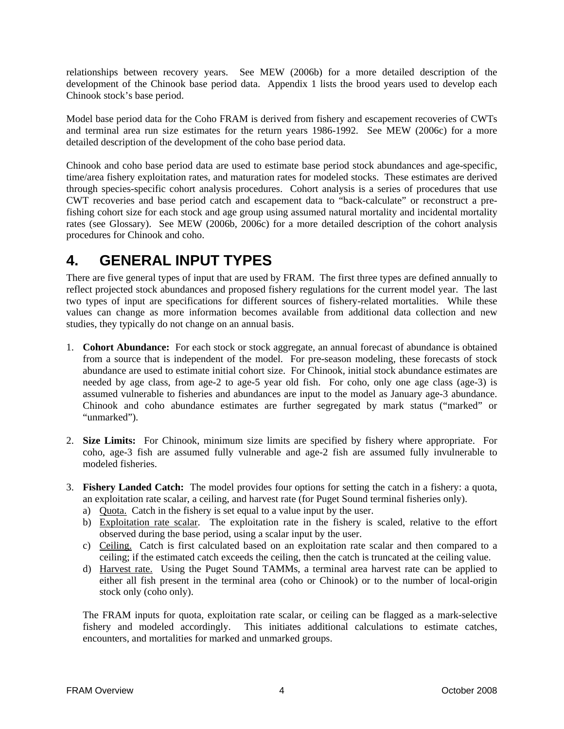relationships between recovery years. See MEW (2006b) for a more detailed description of the development of the Chinook base period data. Appendix 1 lists the brood years used to develop each Chinook stock's base period.

Model base period data for the Coho FRAM is derived from fishery and escapement recoveries of CWTs and terminal area run size estimates for the return years 1986-1992. See MEW (2006c) for a more detailed description of the development of the coho base period data.

Chinook and coho base period data are used to estimate base period stock abundances and age-specific, time/area fishery exploitation rates, and maturation rates for modeled stocks. These estimates are derived through species-specific cohort analysis procedures. Cohort analysis is a series of procedures that use CWT recoveries and base period catch and escapement data to "back-calculate" or reconstruct a prefishing cohort size for each stock and age group using assumed natural mortality and incidental mortality rates (see Glossary). See MEW (2006b, 2006c) for a more detailed description of the cohort analysis procedures for Chinook and coho.

## **4. GENERAL INPUT TYPES**

There are five general types of input that are used by FRAM. The first three types are defined annually to reflect projected stock abundances and proposed fishery regulations for the current model year. The last two types of input are specifications for different sources of fishery-related mortalities. While these values can change as more information becomes available from additional data collection and new studies, they typically do not change on an annual basis.

- 1. **Cohort Abundance:** For each stock or stock aggregate, an annual forecast of abundance is obtained from a source that is independent of the model. For pre-season modeling, these forecasts of stock abundance are used to estimate initial cohort size. For Chinook, initial stock abundance estimates are needed by age class, from age-2 to age-5 year old fish. For coho, only one age class (age-3) is assumed vulnerable to fisheries and abundances are input to the model as January age-3 abundance. Chinook and coho abundance estimates are further segregated by mark status ("marked" or "unmarked").
- 2. **Size Limits:** For Chinook, minimum size limits are specified by fishery where appropriate. For coho, age-3 fish are assumed fully vulnerable and age-2 fish are assumed fully invulnerable to modeled fisheries.
- 3. **Fishery Landed Catch:** The model provides four options for setting the catch in a fishery: a quota, an exploitation rate scalar, a ceiling, and harvest rate (for Puget Sound terminal fisheries only).
	- a) Quota. Catch in the fishery is set equal to a value input by the user.
	- b) Exploitation rate scalar. The exploitation rate in the fishery is scaled, relative to the effort observed during the base period, using a scalar input by the user.
	- c) Ceiling. Catch is first calculated based on an exploitation rate scalar and then compared to a ceiling; if the estimated catch exceeds the ceiling, then the catch is truncated at the ceiling value.
	- d) Harvest rate. Using the Puget Sound TAMMs, a terminal area harvest rate can be applied to either all fish present in the terminal area (coho or Chinook) or to the number of local-origin stock only (coho only).

The FRAM inputs for quota, exploitation rate scalar, or ceiling can be flagged as a mark-selective fishery and modeled accordingly. This initiates additional calculations to estimate catches, encounters, and mortalities for marked and unmarked groups.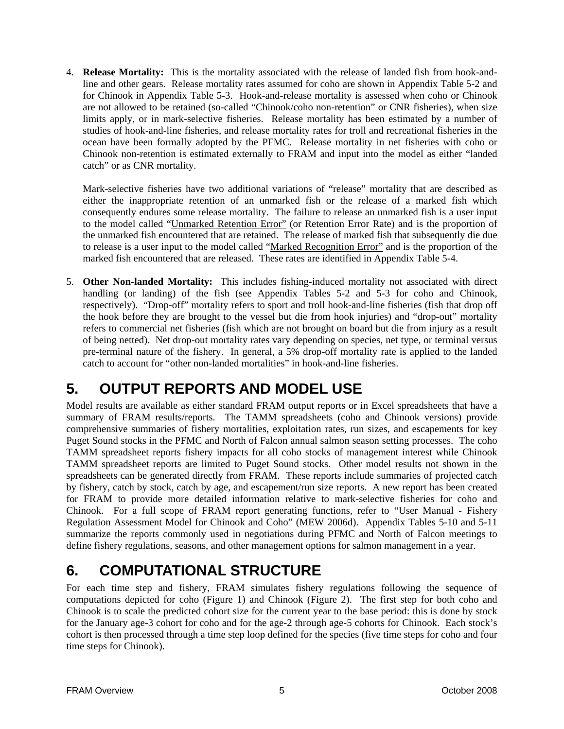4. **Release Mortality:** This is the mortality associated with the release of landed fish from hook-andline and other gears. Release mortality rates assumed for coho are shown in Appendix Table 5-2 and for Chinook in Appendix Table 5-3. Hook-and-release mortality is assessed when coho or Chinook are not allowed to be retained (so-called "Chinook/coho non-retention" or CNR fisheries), when size limits apply, or in mark-selective fisheries. Release mortality has been estimated by a number of studies of hook-and-line fisheries, and release mortality rates for troll and recreational fisheries in the ocean have been formally adopted by the PFMC. Release mortality in net fisheries with coho or Chinook non-retention is estimated externally to FRAM and input into the model as either "landed catch" or as CNR mortality.

Mark-selective fisheries have two additional variations of "release" mortality that are described as either the inappropriate retention of an unmarked fish or the release of a marked fish which consequently endures some release mortality. The failure to release an unmarked fish is a user input to the model called "Unmarked Retention Error" (or Retention Error Rate) and is the proportion of the unmarked fish encountered that are retained. The release of marked fish that subsequently die due to release is a user input to the model called "Marked Recognition Error" and is the proportion of the marked fish encountered that are released. These rates are identified in Appendix Table 5-4.

5. **Other Non-landed Mortality:** This includes fishing-induced mortality not associated with direct handling (or landing) of the fish (see Appendix Tables 5-2 and 5-3 for coho and Chinook, respectively). "Drop-off" mortality refers to sport and troll hook-and-line fisheries (fish that drop off the hook before they are brought to the vessel but die from hook injuries) and "drop-out" mortality refers to commercial net fisheries (fish which are not brought on board but die from injury as a result of being netted). Net drop-out mortality rates vary depending on species, net type, or terminal versus pre-terminal nature of the fishery. In general, a 5% drop-off mortality rate is applied to the landed catch to account for "other non-landed mortalities" in hook-and-line fisheries.

## **5. OUTPUT REPORTS AND MODEL USE**

Model results are available as either standard FRAM output reports or in Excel spreadsheets that have a summary of FRAM results/reports. The TAMM spreadsheets (coho and Chinook versions) provide comprehensive summaries of fishery mortalities, exploitation rates, run sizes, and escapements for key Puget Sound stocks in the PFMC and North of Falcon annual salmon season setting processes. The coho TAMM spreadsheet reports fishery impacts for all coho stocks of management interest while Chinook TAMM spreadsheet reports are limited to Puget Sound stocks. Other model results not shown in the spreadsheets can be generated directly from FRAM. These reports include summaries of projected catch by fishery, catch by stock, catch by age, and escapement/run size reports. A new report has been created for FRAM to provide more detailed information relative to mark-selective fisheries for coho and Chinook. For a full scope of FRAM report generating functions, refer to "User Manual - Fishery Regulation Assessment Model for Chinook and Coho" (MEW 2006d). Appendix Tables 5-10 and 5-11 summarize the reports commonly used in negotiations during PFMC and North of Falcon meetings to define fishery regulations, seasons, and other management options for salmon management in a year.

## **6. COMPUTATIONAL STRUCTURE**

For each time step and fishery, FRAM simulates fishery regulations following the sequence of computations depicted for coho (Figure 1) and Chinook (Figure 2). The first step for both coho and Chinook is to scale the predicted cohort size for the current year to the base period: this is done by stock for the January age-3 cohort for coho and for the age-2 through age-5 cohorts for Chinook. Each stock's cohort is then processed through a time step loop defined for the species (five time steps for coho and four time steps for Chinook).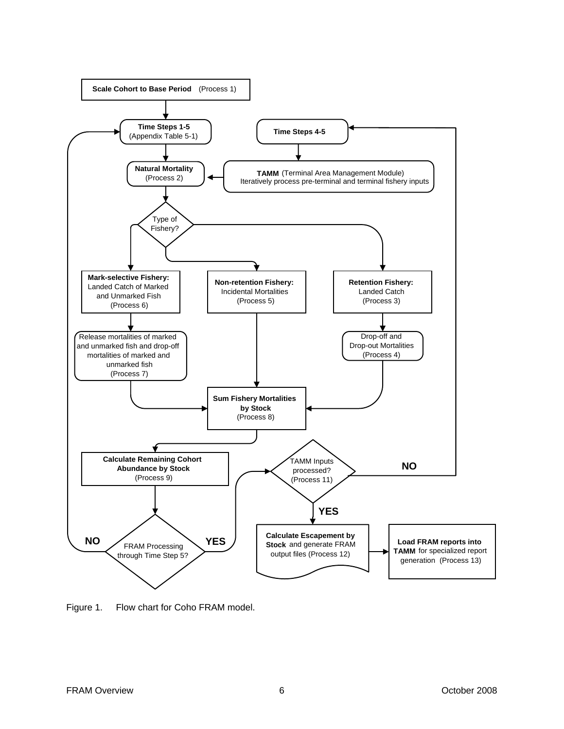

Figure 1. Flow chart for Coho FRAM model.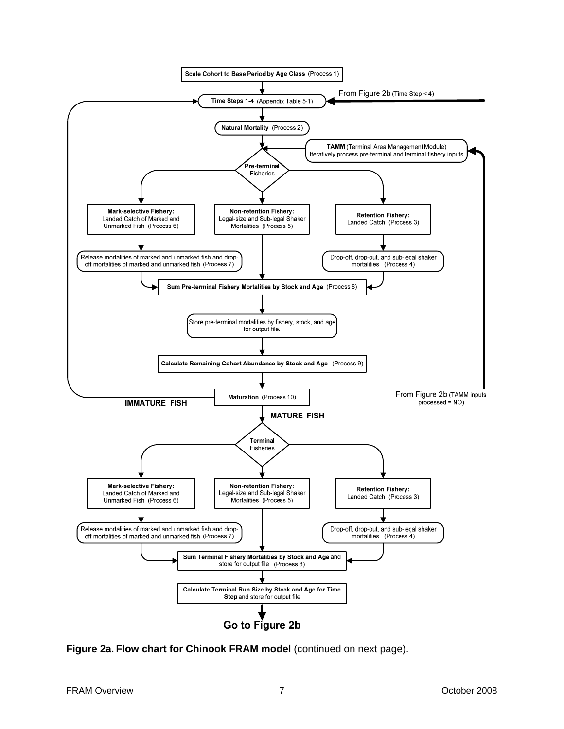

**Figure 2a. Flow chart for Chinook FRAM model** (continued on next page).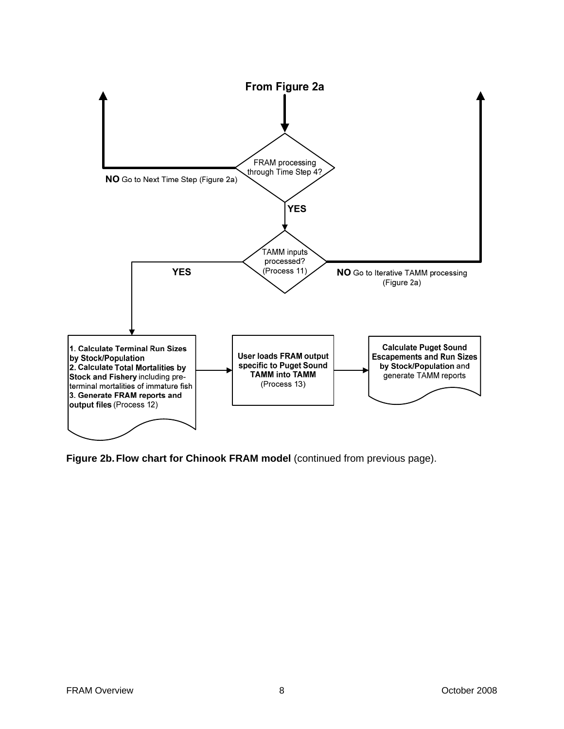

**Figure 2b. Flow chart for Chinook FRAM model** (continued from previous page).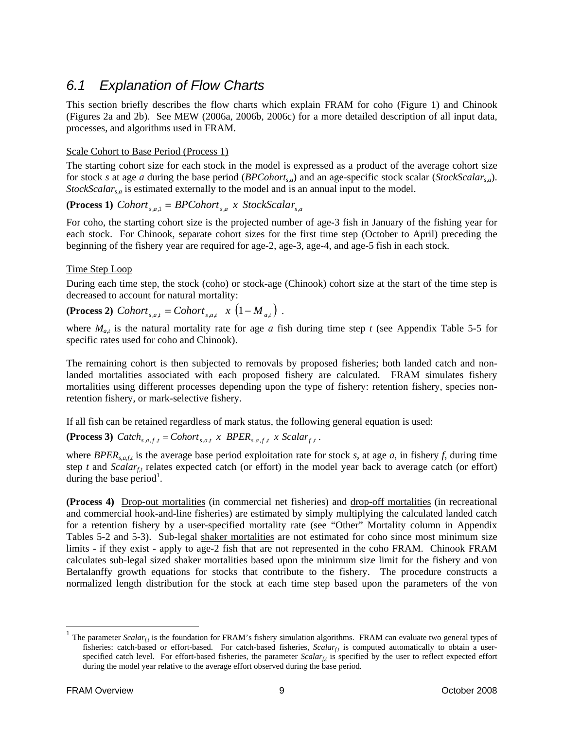### *6.1 Explanation of Flow Charts*

This section briefly describes the flow charts which explain FRAM for coho (Figure 1) and Chinook (Figures 2a and 2b). See MEW (2006a, 2006b, 2006c) for a more detailed description of all input data, processes, and algorithms used in FRAM.

#### Scale Cohort to Base Period (Process 1)

The starting cohort size for each stock in the model is expressed as a product of the average cohort size for stock *s* at age *a* during the base period (*BPCohorts,a*) and an age-specific stock scalar (*StockScalars,a*). *StockScalar<sub>s,a</sub>* is estimated externally to the model and is an annual input to the model.

**(Process 1)**  $\textit{Cohort}_{s,a,1} = \textit{BPCohort}_{s,a} \times \textit{StockScalar}_{s,a}$ 

For coho, the starting cohort size is the projected number of age-3 fish in January of the fishing year for each stock. For Chinook, separate cohort sizes for the first time step (October to April) preceding the beginning of the fishery year are required for age-2, age-3, age-4, and age-5 fish in each stock.

#### Time Step Loop

During each time step, the stock (coho) or stock-age (Chinook) cohort size at the start of the time step is decreased to account for natural mortality:

 $(Process 2) *Color*<sub>*sat*</sub> = *Color*<sub>*sat*</sub> x (1 - M<sub>*at*</sub>).$ 

where  $M_{a,t}$  is the natural mortality rate for age *a* fish during time step *t* (see Appendix Table 5-5 for specific rates used for coho and Chinook).

The remaining cohort is then subjected to removals by proposed fisheries; both landed catch and nonlanded mortalities associated with each proposed fishery are calculated. FRAM simulates fishery mortalities using different processes depending upon the type of fishery: retention fishery, species nonretention fishery, or mark-selective fishery.

If all fish can be retained regardless of mark status, the following general equation is used:

**(Process 3)**  $\text{Catch}_{s,a,f,t} = \text{Cohort}_{s,a,t} \times \text{BPER}_{s,a,f,t} \times \text{Scalar}_{f,t}$ .

where *BPERs,a,f,t* is the average base period exploitation rate for stock *s*, at age *a*, in fishery *f*, during time step *t* and *Scalar<sub>ft</sub>* relates expected catch (or effort) in the model year back to average catch (or effort) during the base period<sup>1</sup>.

**(Process 4)** Drop-out mortalities (in commercial net fisheries) and drop-off mortalities (in recreational and commercial hook-and-line fisheries) are estimated by simply multiplying the calculated landed catch for a retention fishery by a user-specified mortality rate (see "Other" Mortality column in Appendix Tables 5-2 and 5-3). Sub-legal shaker mortalities are not estimated for coho since most minimum size limits - if they exist - apply to age-2 fish that are not represented in the coho FRAM. Chinook FRAM calculates sub-legal sized shaker mortalities based upon the minimum size limit for the fishery and von Bertalanffy growth equations for stocks that contribute to the fishery. The procedure constructs a normalized length distribution for the stock at each time step based upon the parameters of the von

l

<sup>&</sup>lt;sup>1</sup> The parameter *Scalar<sub>tt*</sub> is the foundation for FRAM's fishery simulation algorithms. FRAM can evaluate two general types of fisheries: catch-based or effort-based. For catch-based fisheries, *Scalar<sub>f,t</sub>* is computed automatically to obtain a userspecified catch level. For effort-based fisheries, the parameter  $Scalar<sub>tr</sub>$  is specified by the user to reflect expected effort during the model year relative to the average effort observed during the base period.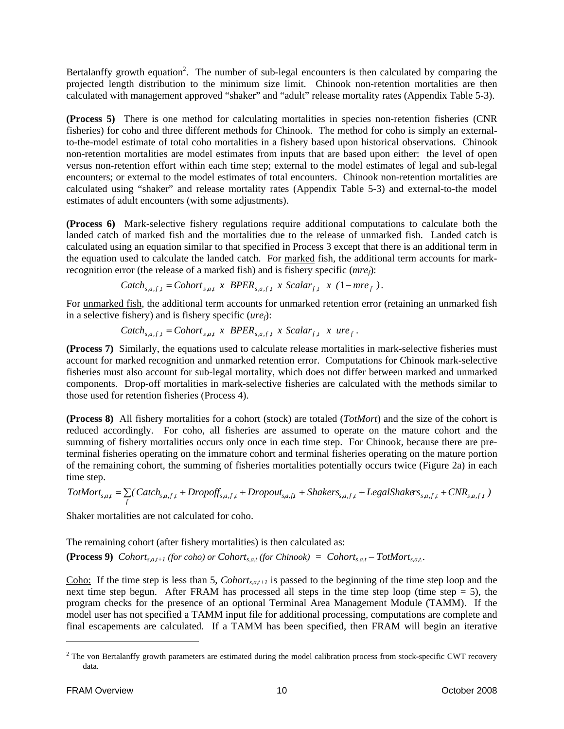Bertalanffy growth equation<sup>2</sup>. The number of sub-legal encounters is then calculated by comparing the projected length distribution to the minimum size limit. Chinook non-retention mortalities are then calculated with management approved "shaker" and "adult" release mortality rates (Appendix Table 5-3).

**(Process 5)** There is one method for calculating mortalities in species non-retention fisheries (CNR fisheries) for coho and three different methods for Chinook. The method for coho is simply an externalto-the-model estimate of total coho mortalities in a fishery based upon historical observations. Chinook non-retention mortalities are model estimates from inputs that are based upon either: the level of open versus non-retention effort within each time step; external to the model estimates of legal and sub-legal encounters; or external to the model estimates of total encounters. Chinook non-retention mortalities are calculated using "shaker" and release mortality rates (Appendix Table 5-3) and external-to-the model estimates of adult encounters (with some adjustments).

**(Process 6)** Mark-selective fishery regulations require additional computations to calculate both the landed catch of marked fish and the mortalities due to the release of unmarked fish. Landed catch is calculated using an equation similar to that specified in Process 3 except that there is an additional term in the equation used to calculate the landed catch. For marked fish, the additional term accounts for markrecognition error (the release of a marked fish) and is fishery specific (*mref*):

$$
Catch_{s,a,f,t} = Cohort_{s,a,t} \times BPER_{s,a,f,t} \times Scalar_{f,t} \times (1-mre_f).
$$

For unmarked fish, the additional term accounts for unmarked retention error (retaining an unmarked fish in a selective fishery) and is fishery specific (*uref*):

$$
Catch_{s,a,f,t} = Cohort_{s,a,t} \times BPER_{s,a,f,t} \times Scalar_{f,t} \times ure_{f}.
$$

**(Process 7)** Similarly, the equations used to calculate release mortalities in mark-selective fisheries must account for marked recognition and unmarked retention error. Computations for Chinook mark-selective fisheries must also account for sub-legal mortality, which does not differ between marked and unmarked components. Drop-off mortalities in mark-selective fisheries are calculated with the methods similar to those used for retention fisheries (Process 4).

**(Process 8)** All fishery mortalities for a cohort (stock) are totaled (*TotMort*) and the size of the cohort is reduced accordingly. For coho, all fisheries are assumed to operate on the mature cohort and the summing of fishery mortalities occurs only once in each time step. For Chinook, because there are preterminal fisheries operating on the immature cohort and terminal fisheries operating on the mature portion of the remaining cohort, the summing of fisheries mortalities potentially occurs twice (Figure 2a) in each time step.

$$
TotMort_{s,a,t} = \sum_{f} (\mathit{Catch}_{s,a,f,t} + \mathit{Dropoff}_{s,a,f,t} + \mathit{Dropout}_{s,a,ft} + \mathit{Shakers}_{s,a,f,t} + \mathit{LegalShakers}_{s,a,f,t} + \mathit{CNR}_{s,a,f,t})
$$

Shaker mortalities are not calculated for coho.

The remaining cohort (after fishery mortalities) is then calculated as:

**(Process 9)** *Cohort<sub>s,a,t+1</sub> (for coho) or Cohort<sub>s,a,t</sub> (for Chinook) = Cohort<sub>s,a,t</sub> – TotMort<sub>s,a,t</sub>.* 

Coho: If the time step is less than 5, *Cohort<sub>s,a,t+1</sub>* is passed to the beginning of the time step loop and the next time step begun. After FRAM has processed all steps in the time step loop (time step  $= 5$ ), the program checks for the presence of an optional Terminal Area Management Module (TAMM). If the model user has not specified a TAMM input file for additional processing, computations are complete and final escapements are calculated. If a TAMM has been specified, then FRAM will begin an iterative

l

 $2$  The von Bertalanffy growth parameters are estimated during the model calibration process from stock-specific CWT recovery data.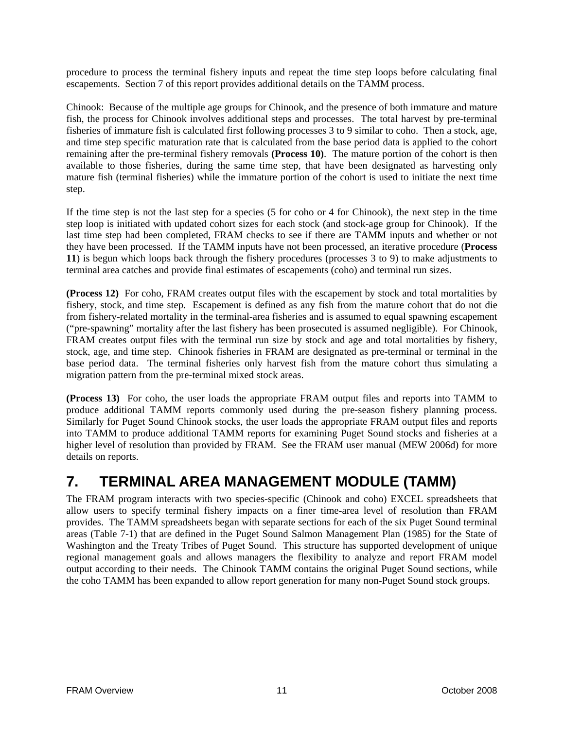procedure to process the terminal fishery inputs and repeat the time step loops before calculating final escapements. Section 7 of this report provides additional details on the TAMM process.

Chinook: Because of the multiple age groups for Chinook, and the presence of both immature and mature fish, the process for Chinook involves additional steps and processes. The total harvest by pre-terminal fisheries of immature fish is calculated first following processes 3 to 9 similar to coho. Then a stock, age, and time step specific maturation rate that is calculated from the base period data is applied to the cohort remaining after the pre-terminal fishery removals **(Process 10)**. The mature portion of the cohort is then available to those fisheries, during the same time step, that have been designated as harvesting only mature fish (terminal fisheries) while the immature portion of the cohort is used to initiate the next time step.

If the time step is not the last step for a species (5 for coho or 4 for Chinook), the next step in the time step loop is initiated with updated cohort sizes for each stock (and stock-age group for Chinook). If the last time step had been completed, FRAM checks to see if there are TAMM inputs and whether or not they have been processed. If the TAMM inputs have not been processed, an iterative procedure (**Process 11**) is begun which loops back through the fishery procedures (processes 3 to 9) to make adjustments to terminal area catches and provide final estimates of escapements (coho) and terminal run sizes.

**(Process 12)** For coho, FRAM creates output files with the escapement by stock and total mortalities by fishery, stock, and time step. Escapement is defined as any fish from the mature cohort that do not die from fishery-related mortality in the terminal-area fisheries and is assumed to equal spawning escapement ("pre-spawning" mortality after the last fishery has been prosecuted is assumed negligible). For Chinook, FRAM creates output files with the terminal run size by stock and age and total mortalities by fishery, stock, age, and time step. Chinook fisheries in FRAM are designated as pre-terminal or terminal in the base period data. The terminal fisheries only harvest fish from the mature cohort thus simulating a migration pattern from the pre-terminal mixed stock areas.

**(Process 13)** For coho, the user loads the appropriate FRAM output files and reports into TAMM to produce additional TAMM reports commonly used during the pre-season fishery planning process. Similarly for Puget Sound Chinook stocks, the user loads the appropriate FRAM output files and reports into TAMM to produce additional TAMM reports for examining Puget Sound stocks and fisheries at a higher level of resolution than provided by FRAM. See the FRAM user manual (MEW 2006d) for more details on reports.

## **7. TERMINAL AREA MANAGEMENT MODULE (TAMM)**

The FRAM program interacts with two species-specific (Chinook and coho) EXCEL spreadsheets that allow users to specify terminal fishery impacts on a finer time-area level of resolution than FRAM provides. The TAMM spreadsheets began with separate sections for each of the six Puget Sound terminal areas (Table 7-1) that are defined in the Puget Sound Salmon Management Plan (1985) for the State of Washington and the Treaty Tribes of Puget Sound. This structure has supported development of unique regional management goals and allows managers the flexibility to analyze and report FRAM model output according to their needs. The Chinook TAMM contains the original Puget Sound sections, while the coho TAMM has been expanded to allow report generation for many non-Puget Sound stock groups.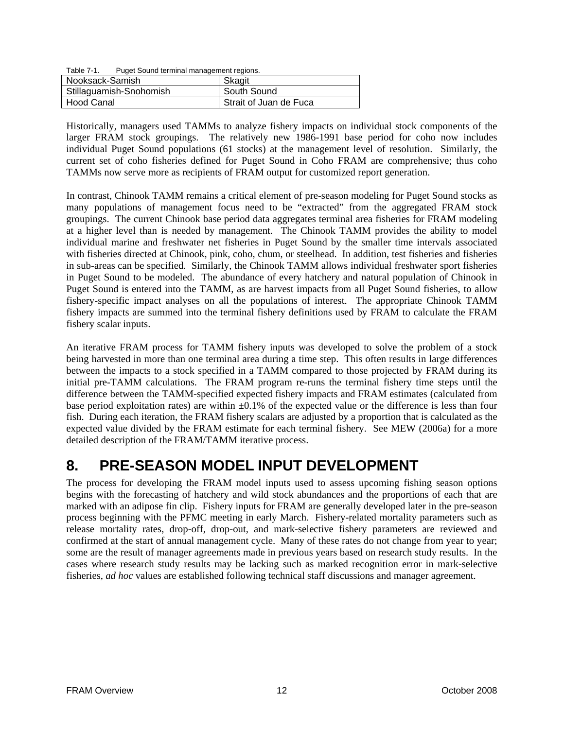| Table 7-1. | Puget Sound terminal management regions. |
|------------|------------------------------------------|

| Nooksack-Samish         | Skagit                 |
|-------------------------|------------------------|
| Stillaguamish-Snohomish | South Sound            |
| Hood Canal              | Strait of Juan de Fuca |

Historically, managers used TAMMs to analyze fishery impacts on individual stock components of the larger FRAM stock groupings. The relatively new 1986-1991 base period for coho now includes individual Puget Sound populations (61 stocks) at the management level of resolution. Similarly, the current set of coho fisheries defined for Puget Sound in Coho FRAM are comprehensive; thus coho TAMMs now serve more as recipients of FRAM output for customized report generation.

In contrast, Chinook TAMM remains a critical element of pre-season modeling for Puget Sound stocks as many populations of management focus need to be "extracted" from the aggregated FRAM stock groupings. The current Chinook base period data aggregates terminal area fisheries for FRAM modeling at a higher level than is needed by management. The Chinook TAMM provides the ability to model individual marine and freshwater net fisheries in Puget Sound by the smaller time intervals associated with fisheries directed at Chinook, pink, coho, chum, or steelhead. In addition, test fisheries and fisheries in sub-areas can be specified. Similarly, the Chinook TAMM allows individual freshwater sport fisheries in Puget Sound to be modeled. The abundance of every hatchery and natural population of Chinook in Puget Sound is entered into the TAMM, as are harvest impacts from all Puget Sound fisheries, to allow fishery-specific impact analyses on all the populations of interest. The appropriate Chinook TAMM fishery impacts are summed into the terminal fishery definitions used by FRAM to calculate the FRAM fishery scalar inputs.

An iterative FRAM process for TAMM fishery inputs was developed to solve the problem of a stock being harvested in more than one terminal area during a time step. This often results in large differences between the impacts to a stock specified in a TAMM compared to those projected by FRAM during its initial pre-TAMM calculations. The FRAM program re-runs the terminal fishery time steps until the difference between the TAMM-specified expected fishery impacts and FRAM estimates (calculated from base period exploitation rates) are within  $\pm 0.1\%$  of the expected value or the difference is less than four fish. During each iteration, the FRAM fishery scalars are adjusted by a proportion that is calculated as the expected value divided by the FRAM estimate for each terminal fishery. See MEW (2006a) for a more detailed description of the FRAM/TAMM iterative process.

## **8. PRE-SEASON MODEL INPUT DEVELOPMENT**

The process for developing the FRAM model inputs used to assess upcoming fishing season options begins with the forecasting of hatchery and wild stock abundances and the proportions of each that are marked with an adipose fin clip. Fishery inputs for FRAM are generally developed later in the pre-season process beginning with the PFMC meeting in early March. Fishery-related mortality parameters such as release mortality rates, drop-off, drop-out, and mark-selective fishery parameters are reviewed and confirmed at the start of annual management cycle. Many of these rates do not change from year to year; some are the result of manager agreements made in previous years based on research study results. In the cases where research study results may be lacking such as marked recognition error in mark-selective fisheries, *ad hoc* values are established following technical staff discussions and manager agreement.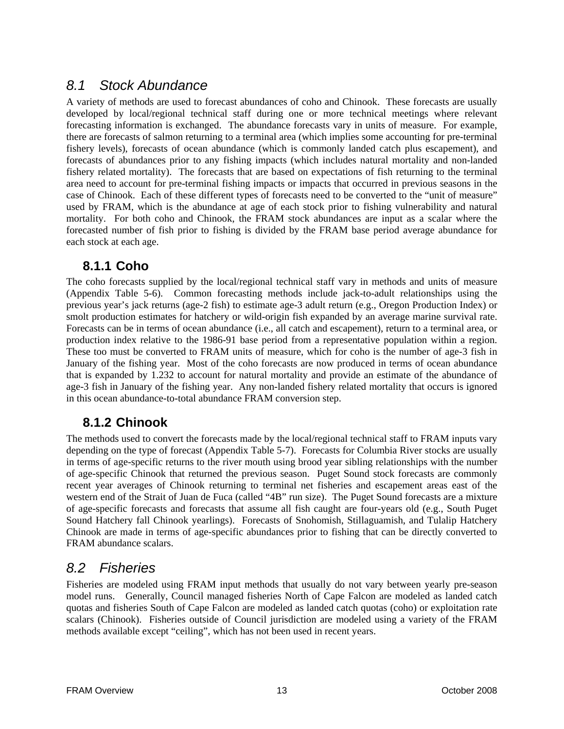### *8.1 Stock Abundance*

A variety of methods are used to forecast abundances of coho and Chinook. These forecasts are usually developed by local/regional technical staff during one or more technical meetings where relevant forecasting information is exchanged. The abundance forecasts vary in units of measure. For example, there are forecasts of salmon returning to a terminal area (which implies some accounting for pre-terminal fishery levels), forecasts of ocean abundance (which is commonly landed catch plus escapement), and forecasts of abundances prior to any fishing impacts (which includes natural mortality and non-landed fishery related mortality). The forecasts that are based on expectations of fish returning to the terminal area need to account for pre-terminal fishing impacts or impacts that occurred in previous seasons in the case of Chinook. Each of these different types of forecasts need to be converted to the "unit of measure" used by FRAM, which is the abundance at age of each stock prior to fishing vulnerability and natural mortality. For both coho and Chinook, the FRAM stock abundances are input as a scalar where the forecasted number of fish prior to fishing is divided by the FRAM base period average abundance for each stock at each age.

### **8.1.1 Coho**

The coho forecasts supplied by the local/regional technical staff vary in methods and units of measure (Appendix Table 5-6). Common forecasting methods include jack-to-adult relationships using the previous year's jack returns (age-2 fish) to estimate age-3 adult return (e.g., Oregon Production Index) or smolt production estimates for hatchery or wild-origin fish expanded by an average marine survival rate. Forecasts can be in terms of ocean abundance (i.e., all catch and escapement), return to a terminal area, or production index relative to the 1986-91 base period from a representative population within a region. These too must be converted to FRAM units of measure, which for coho is the number of age-3 fish in January of the fishing year. Most of the coho forecasts are now produced in terms of ocean abundance that is expanded by 1.232 to account for natural mortality and provide an estimate of the abundance of age-3 fish in January of the fishing year. Any non-landed fishery related mortality that occurs is ignored in this ocean abundance-to-total abundance FRAM conversion step.

### **8.1.2 Chinook**

The methods used to convert the forecasts made by the local/regional technical staff to FRAM inputs vary depending on the type of forecast (Appendix Table 5-7). Forecasts for Columbia River stocks are usually in terms of age-specific returns to the river mouth using brood year sibling relationships with the number of age-specific Chinook that returned the previous season. Puget Sound stock forecasts are commonly recent year averages of Chinook returning to terminal net fisheries and escapement areas east of the western end of the Strait of Juan de Fuca (called "4B" run size). The Puget Sound forecasts are a mixture of age-specific forecasts and forecasts that assume all fish caught are four-years old (e.g., South Puget Sound Hatchery fall Chinook yearlings). Forecasts of Snohomish, Stillaguamish, and Tulalip Hatchery Chinook are made in terms of age-specific abundances prior to fishing that can be directly converted to FRAM abundance scalars.

### *8.2 Fisheries*

Fisheries are modeled using FRAM input methods that usually do not vary between yearly pre-season model runs. Generally, Council managed fisheries North of Cape Falcon are modeled as landed catch quotas and fisheries South of Cape Falcon are modeled as landed catch quotas (coho) or exploitation rate scalars (Chinook). Fisheries outside of Council jurisdiction are modeled using a variety of the FRAM methods available except "ceiling", which has not been used in recent years.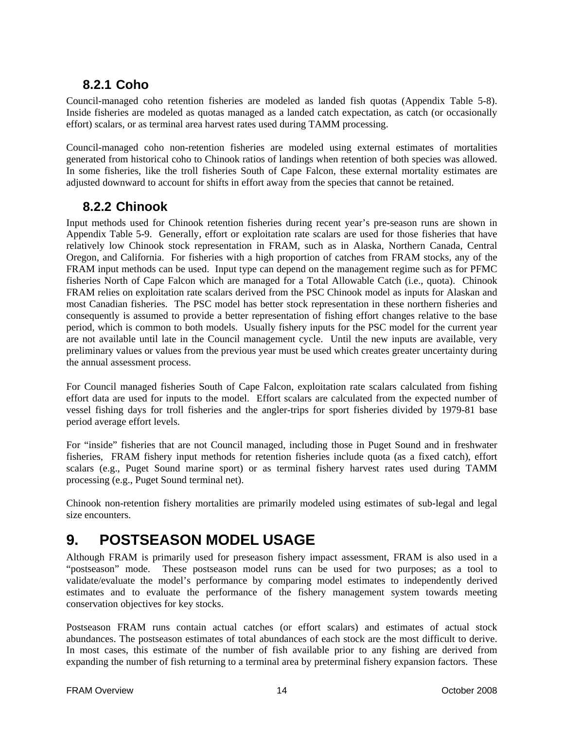## **8.2.1 Coho**

Council-managed coho retention fisheries are modeled as landed fish quotas (Appendix Table 5-8). Inside fisheries are modeled as quotas managed as a landed catch expectation, as catch (or occasionally effort) scalars, or as terminal area harvest rates used during TAMM processing.

Council-managed coho non-retention fisheries are modeled using external estimates of mortalities generated from historical coho to Chinook ratios of landings when retention of both species was allowed. In some fisheries, like the troll fisheries South of Cape Falcon, these external mortality estimates are adjusted downward to account for shifts in effort away from the species that cannot be retained.

### **8.2.2 Chinook**

Input methods used for Chinook retention fisheries during recent year's pre-season runs are shown in Appendix Table 5-9. Generally, effort or exploitation rate scalars are used for those fisheries that have relatively low Chinook stock representation in FRAM, such as in Alaska, Northern Canada, Central Oregon, and California. For fisheries with a high proportion of catches from FRAM stocks, any of the FRAM input methods can be used. Input type can depend on the management regime such as for PFMC fisheries North of Cape Falcon which are managed for a Total Allowable Catch (i.e., quota). Chinook FRAM relies on exploitation rate scalars derived from the PSC Chinook model as inputs for Alaskan and most Canadian fisheries. The PSC model has better stock representation in these northern fisheries and consequently is assumed to provide a better representation of fishing effort changes relative to the base period, which is common to both models. Usually fishery inputs for the PSC model for the current year are not available until late in the Council management cycle. Until the new inputs are available, very preliminary values or values from the previous year must be used which creates greater uncertainty during the annual assessment process.

For Council managed fisheries South of Cape Falcon, exploitation rate scalars calculated from fishing effort data are used for inputs to the model. Effort scalars are calculated from the expected number of vessel fishing days for troll fisheries and the angler-trips for sport fisheries divided by 1979-81 base period average effort levels.

For "inside" fisheries that are not Council managed, including those in Puget Sound and in freshwater fisheries, FRAM fishery input methods for retention fisheries include quota (as a fixed catch), effort scalars (e.g., Puget Sound marine sport) or as terminal fishery harvest rates used during TAMM processing (e.g., Puget Sound terminal net).

Chinook non-retention fishery mortalities are primarily modeled using estimates of sub-legal and legal size encounters.

## **9. POSTSEASON MODEL USAGE**

Although FRAM is primarily used for preseason fishery impact assessment, FRAM is also used in a "postseason" mode. These postseason model runs can be used for two purposes; as a tool to validate/evaluate the model's performance by comparing model estimates to independently derived estimates and to evaluate the performance of the fishery management system towards meeting conservation objectives for key stocks.

Postseason FRAM runs contain actual catches (or effort scalars) and estimates of actual stock abundances. The postseason estimates of total abundances of each stock are the most difficult to derive. In most cases, this estimate of the number of fish available prior to any fishing are derived from expanding the number of fish returning to a terminal area by preterminal fishery expansion factors. These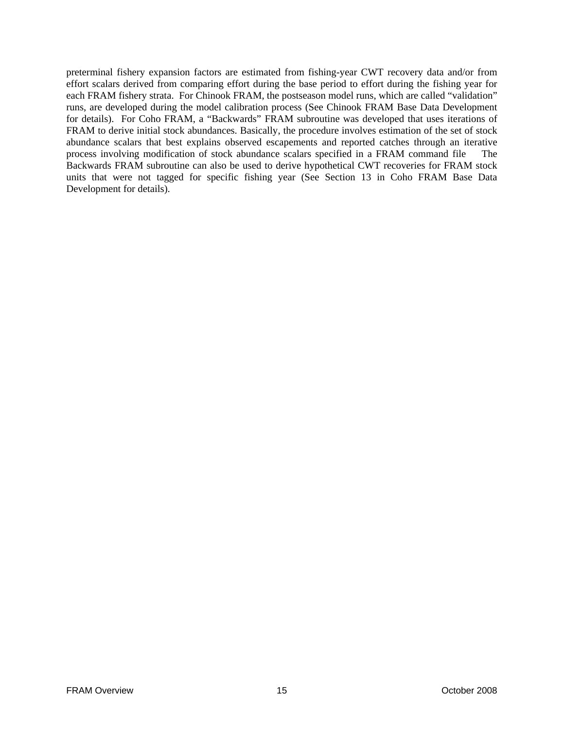preterminal fishery expansion factors are estimated from fishing-year CWT recovery data and/or from effort scalars derived from comparing effort during the base period to effort during the fishing year for each FRAM fishery strata. For Chinook FRAM, the postseason model runs, which are called "validation" runs, are developed during the model calibration process (See Chinook FRAM Base Data Development for details). For Coho FRAM, a "Backwards" FRAM subroutine was developed that uses iterations of FRAM to derive initial stock abundances. Basically, the procedure involves estimation of the set of stock abundance scalars that best explains observed escapements and reported catches through an iterative process involving modification of stock abundance scalars specified in a FRAM command file The Backwards FRAM subroutine can also be used to derive hypothetical CWT recoveries for FRAM stock units that were not tagged for specific fishing year (See Section 13 in Coho FRAM Base Data Development for details).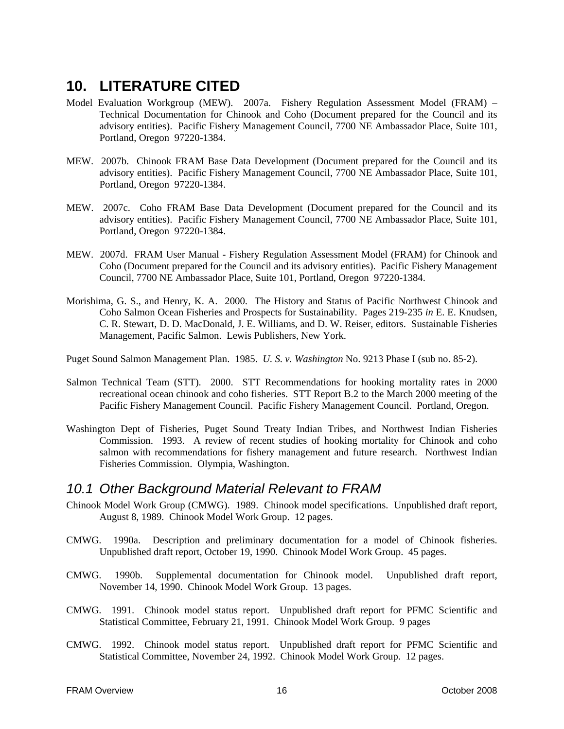## **10. LITERATURE CITED**

- Model Evaluation Workgroup (MEW). 2007a. Fishery Regulation Assessment Model (FRAM) Technical Documentation for Chinook and Coho (Document prepared for the Council and its advisory entities). Pacific Fishery Management Council, 7700 NE Ambassador Place, Suite 101, Portland, Oregon 97220-1384.
- MEW. 2007b. Chinook FRAM Base Data Development (Document prepared for the Council and its advisory entities). Pacific Fishery Management Council, 7700 NE Ambassador Place, Suite 101, Portland, Oregon 97220-1384.
- MEW. 2007c. Coho FRAM Base Data Development (Document prepared for the Council and its advisory entities). Pacific Fishery Management Council, 7700 NE Ambassador Place, Suite 101, Portland, Oregon 97220-1384.
- MEW. 2007d. FRAM User Manual Fishery Regulation Assessment Model (FRAM) for Chinook and Coho (Document prepared for the Council and its advisory entities). Pacific Fishery Management Council, 7700 NE Ambassador Place, Suite 101, Portland, Oregon 97220-1384.
- Morishima, G. S., and Henry, K. A. 2000. The History and Status of Pacific Northwest Chinook and Coho Salmon Ocean Fisheries and Prospects for Sustainability. Pages 219-235 *in* E. E. Knudsen, C. R. Stewart, D. D. MacDonald, J. E. Williams, and D. W. Reiser, editors. Sustainable Fisheries Management, Pacific Salmon. Lewis Publishers, New York.

Puget Sound Salmon Management Plan. 1985. *U. S. v. Washington* No. 9213 Phase I (sub no. 85-2).

- Salmon Technical Team (STT). 2000. STT Recommendations for hooking mortality rates in 2000 recreational ocean chinook and coho fisheries. STT Report B.2 to the March 2000 meeting of the Pacific Fishery Management Council. Pacific Fishery Management Council. Portland, Oregon.
- Washington Dept of Fisheries, Puget Sound Treaty Indian Tribes, and Northwest Indian Fisheries Commission. 1993. A review of recent studies of hooking mortality for Chinook and coho salmon with recommendations for fishery management and future research. Northwest Indian Fisheries Commission. Olympia, Washington.

#### *10.1 Other Background Material Relevant to FRAM*

- Chinook Model Work Group (CMWG). 1989. Chinook model specifications. Unpublished draft report, August 8, 1989. Chinook Model Work Group. 12 pages.
- CMWG. 1990a. Description and preliminary documentation for a model of Chinook fisheries. Unpublished draft report, October 19, 1990. Chinook Model Work Group. 45 pages.
- CMWG. 1990b. Supplemental documentation for Chinook model. Unpublished draft report, November 14, 1990. Chinook Model Work Group. 13 pages.
- CMWG. 1991. Chinook model status report. Unpublished draft report for PFMC Scientific and Statistical Committee, February 21, 1991. Chinook Model Work Group. 9 pages
- CMWG. 1992. Chinook model status report. Unpublished draft report for PFMC Scientific and Statistical Committee, November 24, 1992. Chinook Model Work Group. 12 pages.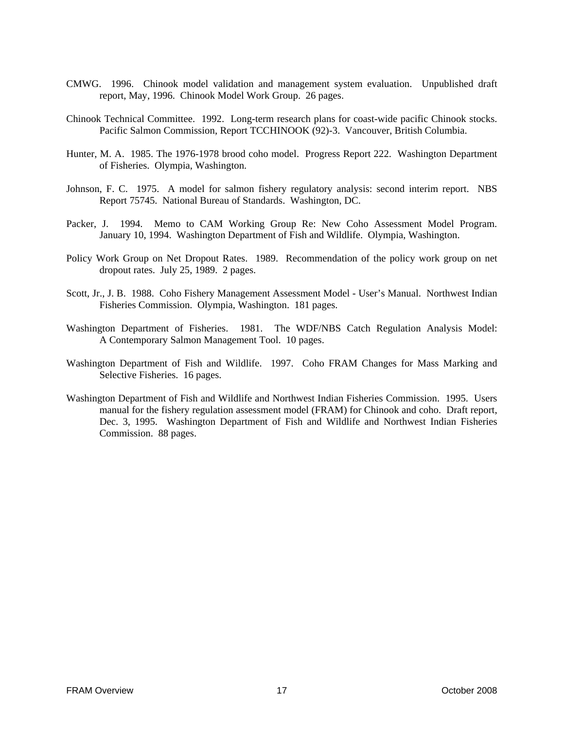- CMWG. 1996. Chinook model validation and management system evaluation. Unpublished draft report, May, 1996. Chinook Model Work Group. 26 pages.
- Chinook Technical Committee. 1992. Long-term research plans for coast-wide pacific Chinook stocks. Pacific Salmon Commission, Report TCCHINOOK (92)-3. Vancouver, British Columbia.
- Hunter, M. A. 1985. The 1976-1978 brood coho model. Progress Report 222. Washington Department of Fisheries. Olympia, Washington.
- Johnson, F. C. 1975. A model for salmon fishery regulatory analysis: second interim report. NBS Report 75745. National Bureau of Standards. Washington, DC.
- Packer, J. 1994. Memo to CAM Working Group Re: New Coho Assessment Model Program. January 10, 1994. Washington Department of Fish and Wildlife. Olympia, Washington.
- Policy Work Group on Net Dropout Rates. 1989. Recommendation of the policy work group on net dropout rates. July 25, 1989. 2 pages.
- Scott, Jr., J. B. 1988. Coho Fishery Management Assessment Model User's Manual. Northwest Indian Fisheries Commission. Olympia, Washington. 181 pages.
- Washington Department of Fisheries. 1981. The WDF/NBS Catch Regulation Analysis Model: A Contemporary Salmon Management Tool. 10 pages.
- Washington Department of Fish and Wildlife. 1997. Coho FRAM Changes for Mass Marking and Selective Fisheries. 16 pages.
- Washington Department of Fish and Wildlife and Northwest Indian Fisheries Commission. 1995. Users manual for the fishery regulation assessment model (FRAM) for Chinook and coho. Draft report, Dec. 3, 1995. Washington Department of Fish and Wildlife and Northwest Indian Fisheries Commission. 88 pages.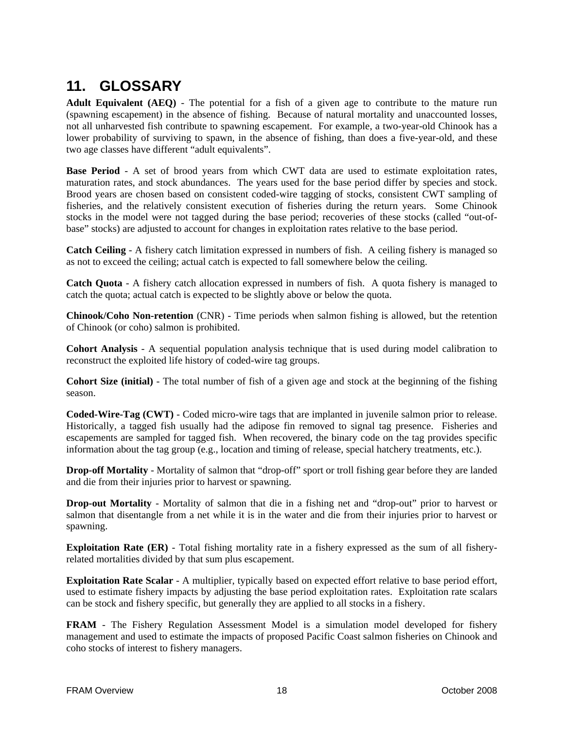## **11. GLOSSARY**

**Adult Equivalent (AEQ)** - The potential for a fish of a given age to contribute to the mature run (spawning escapement) in the absence of fishing. Because of natural mortality and unaccounted losses, not all unharvested fish contribute to spawning escapement. For example, a two-year-old Chinook has a lower probability of surviving to spawn, in the absence of fishing, than does a five-year-old, and these two age classes have different "adult equivalents".

**Base Period** - A set of brood years from which CWT data are used to estimate exploitation rates, maturation rates, and stock abundances. The years used for the base period differ by species and stock. Brood years are chosen based on consistent coded-wire tagging of stocks, consistent CWT sampling of fisheries, and the relatively consistent execution of fisheries during the return years. Some Chinook stocks in the model were not tagged during the base period; recoveries of these stocks (called "out-ofbase" stocks) are adjusted to account for changes in exploitation rates relative to the base period.

**Catch Ceiling** - A fishery catch limitation expressed in numbers of fish. A ceiling fishery is managed so as not to exceed the ceiling; actual catch is expected to fall somewhere below the ceiling.

**Catch Quota** - A fishery catch allocation expressed in numbers of fish. A quota fishery is managed to catch the quota; actual catch is expected to be slightly above or below the quota.

**Chinook/Coho Non-retention** (CNR) - Time periods when salmon fishing is allowed, but the retention of Chinook (or coho) salmon is prohibited.

**Cohort Analysis** - A sequential population analysis technique that is used during model calibration to reconstruct the exploited life history of coded-wire tag groups.

**Cohort Size (initial)** - The total number of fish of a given age and stock at the beginning of the fishing season.

**Coded-Wire-Tag (CWT)** - Coded micro-wire tags that are implanted in juvenile salmon prior to release. Historically, a tagged fish usually had the adipose fin removed to signal tag presence. Fisheries and escapements are sampled for tagged fish. When recovered, the binary code on the tag provides specific information about the tag group (e.g., location and timing of release, special hatchery treatments, etc.).

**Drop-off Mortality** - Mortality of salmon that "drop-off" sport or troll fishing gear before they are landed and die from their injuries prior to harvest or spawning.

**Drop-out Mortality** - Mortality of salmon that die in a fishing net and "drop-out" prior to harvest or salmon that disentangle from a net while it is in the water and die from their injuries prior to harvest or spawning.

**Exploitation Rate (ER)** - Total fishing mortality rate in a fishery expressed as the sum of all fisheryrelated mortalities divided by that sum plus escapement.

**Exploitation Rate Scalar** - A multiplier, typically based on expected effort relative to base period effort, used to estimate fishery impacts by adjusting the base period exploitation rates. Exploitation rate scalars can be stock and fishery specific, but generally they are applied to all stocks in a fishery.

**FRAM** - The Fishery Regulation Assessment Model is a simulation model developed for fishery management and used to estimate the impacts of proposed Pacific Coast salmon fisheries on Chinook and coho stocks of interest to fishery managers.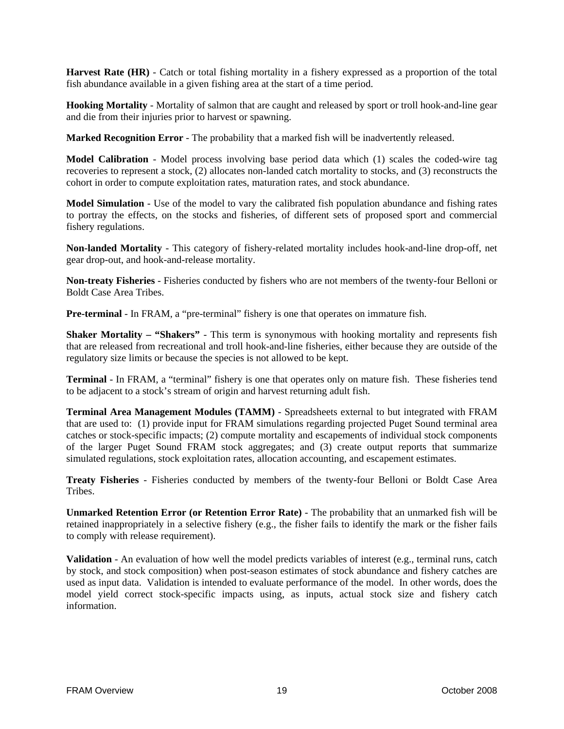**Harvest Rate (HR)** - Catch or total fishing mortality in a fishery expressed as a proportion of the total fish abundance available in a given fishing area at the start of a time period.

**Hooking Mortality** - Mortality of salmon that are caught and released by sport or troll hook-and-line gear and die from their injuries prior to harvest or spawning.

**Marked Recognition Error** - The probability that a marked fish will be inadvertently released.

**Model Calibration** - Model process involving base period data which (1) scales the coded-wire tag recoveries to represent a stock, (2) allocates non-landed catch mortality to stocks, and (3) reconstructs the cohort in order to compute exploitation rates, maturation rates, and stock abundance.

**Model Simulation** - Use of the model to vary the calibrated fish population abundance and fishing rates to portray the effects, on the stocks and fisheries, of different sets of proposed sport and commercial fishery regulations.

**Non-landed Mortality** - This category of fishery-related mortality includes hook-and-line drop-off, net gear drop-out, and hook-and-release mortality.

**Non-treaty Fisheries** - Fisheries conducted by fishers who are not members of the twenty-four Belloni or Boldt Case Area Tribes.

**Pre-terminal** - In FRAM, a "pre-terminal" fishery is one that operates on immature fish.

**Shaker Mortality – "Shakers"** - This term is synonymous with hooking mortality and represents fish that are released from recreational and troll hook-and-line fisheries, either because they are outside of the regulatory size limits or because the species is not allowed to be kept.

**Terminal** - In FRAM, a "terminal" fishery is one that operates only on mature fish. These fisheries tend to be adjacent to a stock's stream of origin and harvest returning adult fish.

**Terminal Area Management Modules (TAMM)** - Spreadsheets external to but integrated with FRAM that are used to: (1) provide input for FRAM simulations regarding projected Puget Sound terminal area catches or stock-specific impacts; (2) compute mortality and escapements of individual stock components of the larger Puget Sound FRAM stock aggregates; and (3) create output reports that summarize simulated regulations, stock exploitation rates, allocation accounting, and escapement estimates.

**Treaty Fisheries** - Fisheries conducted by members of the twenty-four Belloni or Boldt Case Area Tribes.

**Unmarked Retention Error (or Retention Error Rate)** - The probability that an unmarked fish will be retained inappropriately in a selective fishery (e.g., the fisher fails to identify the mark or the fisher fails to comply with release requirement).

**Validation** - An evaluation of how well the model predicts variables of interest (e.g., terminal runs, catch by stock, and stock composition) when post-season estimates of stock abundance and fishery catches are used as input data. Validation is intended to evaluate performance of the model. In other words, does the model yield correct stock-specific impacts using, as inputs, actual stock size and fishery catch information.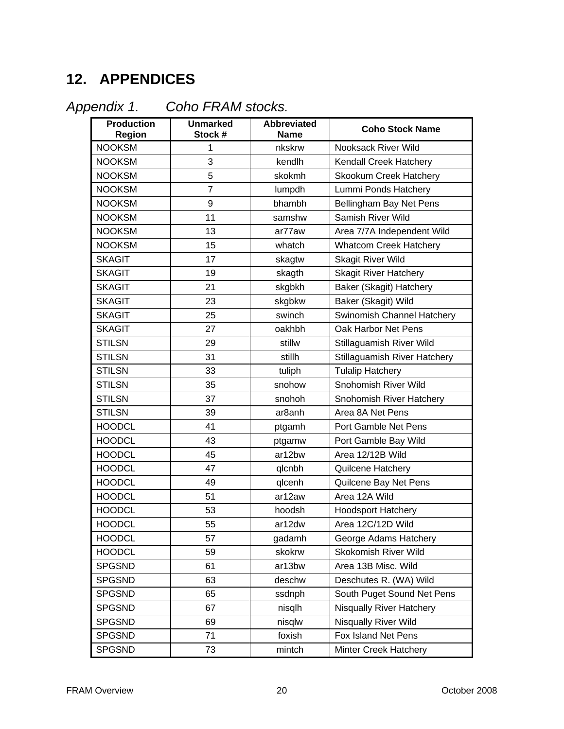# **12. APPENDICES**

| Appendix 1. |  |  |
|-------------|--|--|

*Appendix 1. Coho FRAM stocks.* 

| <b>Production</b><br>Region | <b>Unmarked</b><br>Stock # | <b>Abbreviated</b><br><b>Name</b> | <b>Coho Stock Name</b>          |
|-----------------------------|----------------------------|-----------------------------------|---------------------------------|
| <b>NOOKSM</b>               | 1                          | nkskrw                            | Nooksack River Wild             |
| <b>NOOKSM</b>               | 3                          | kendlh                            | Kendall Creek Hatchery          |
| <b>NOOKSM</b>               | 5                          | skokmh                            | <b>Skookum Creek Hatchery</b>   |
| <b>NOOKSM</b>               | $\overline{7}$             | lumpdh                            | Lummi Ponds Hatchery            |
| <b>NOOKSM</b>               | 9                          | bhambh                            | Bellingham Bay Net Pens         |
| <b>NOOKSM</b>               | 11                         | samshw                            | Samish River Wild               |
| <b>NOOKSM</b>               | 13                         | ar77aw                            | Area 7/7A Independent Wild      |
| <b>NOOKSM</b>               | 15                         | whatch                            | <b>Whatcom Creek Hatchery</b>   |
| <b>SKAGIT</b>               | 17                         | skagtw                            | <b>Skagit River Wild</b>        |
| <b>SKAGIT</b>               | 19                         | skagth                            | <b>Skagit River Hatchery</b>    |
| <b>SKAGIT</b>               | 21                         | skgbkh                            | Baker (Skagit) Hatchery         |
| <b>SKAGIT</b>               | 23                         | skgbkw                            | Baker (Skagit) Wild             |
| <b>SKAGIT</b>               | 25                         | swinch                            | Swinomish Channel Hatchery      |
| <b>SKAGIT</b>               | 27                         | oakhbh                            | Oak Harbor Net Pens             |
| <b>STILSN</b>               | 29                         | stillw                            | Stillaguamish River Wild        |
| <b>STILSN</b>               | 31                         | stillh                            | Stillaguamish River Hatchery    |
| <b>STILSN</b>               | 33                         | tuliph                            | <b>Tulalip Hatchery</b>         |
| <b>STILSN</b>               | 35                         | snohow                            | Snohomish River Wild            |
| <b>STILSN</b>               | 37                         | snohoh                            | Snohomish River Hatchery        |
| <b>STILSN</b>               | 39                         | ar <sub>8</sub> anh               | Area 8A Net Pens                |
| <b>HOODCL</b>               | 41                         | ptgamh                            | Port Gamble Net Pens            |
| <b>HOODCL</b>               | 43                         | ptgamw                            | Port Gamble Bay Wild            |
| <b>HOODCL</b>               | 45                         | ar12bw                            | Area 12/12B Wild                |
| <b>HOODCL</b>               | 47                         | qlcnbh                            | Quilcene Hatchery               |
| <b>HOODCL</b>               | 49                         | glcenh                            | Quilcene Bay Net Pens           |
| <b>HOODCL</b>               | 51                         | ar12aw                            | Area 12A Wild                   |
| <b>HOODCL</b>               | 53                         | hoodsh                            | <b>Hoodsport Hatchery</b>       |
| <b>HOODCL</b>               | 55                         | ar12dw                            | Area 12C/12D Wild               |
| <b>HOODCL</b>               | 57                         | gadamh                            | George Adams Hatchery           |
| <b>HOODCL</b>               | 59                         | skokrw                            | Skokomish River Wild            |
| <b>SPGSND</b>               | 61                         | ar13bw                            | Area 13B Misc. Wild             |
| <b>SPGSND</b>               | 63                         | deschw                            | Deschutes R. (WA) Wild          |
| <b>SPGSND</b>               | 65                         | ssdnph                            | South Puget Sound Net Pens      |
| <b>SPGSND</b>               | 67                         | nisqlh                            | <b>Nisqually River Hatchery</b> |
| <b>SPGSND</b>               | 69                         | nisqlw                            | Nisqually River Wild            |
| <b>SPGSND</b>               | 71                         | foxish                            | Fox Island Net Pens             |
| <b>SPGSND</b>               | 73                         | mintch                            | Minter Creek Hatchery           |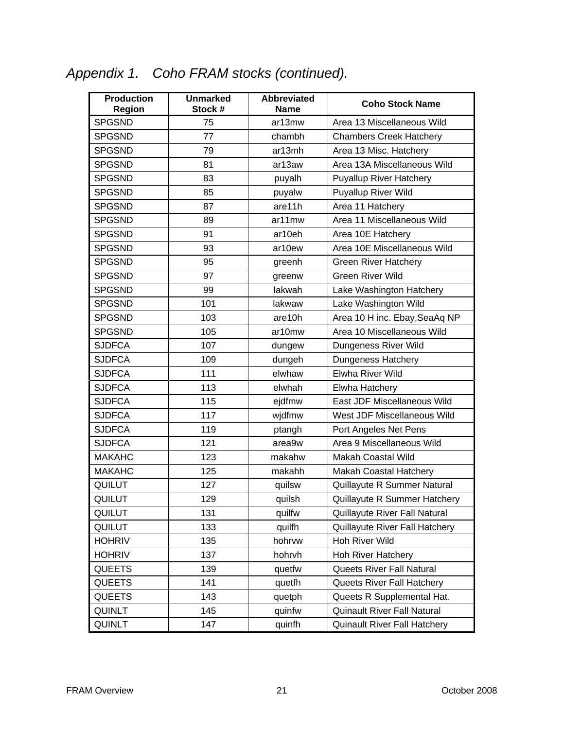# *Appendix 1. Coho FRAM stocks (continued).*

| <b>Production</b><br><b>Region</b> | <b>Unmarked</b><br>Stock # | <b>Abbreviated</b><br><b>Name</b> | <b>Coho Stock Name</b>             |  |
|------------------------------------|----------------------------|-----------------------------------|------------------------------------|--|
| <b>SPGSND</b>                      | 75                         | ar13mw                            | Area 13 Miscellaneous Wild         |  |
| <b>SPGSND</b>                      | 77                         | chambh                            | <b>Chambers Creek Hatchery</b>     |  |
| <b>SPGSND</b>                      | 79                         | ar13mh                            | Area 13 Misc. Hatchery             |  |
| <b>SPGSND</b>                      | 81                         | ar13aw                            | Area 13A Miscellaneous Wild        |  |
| <b>SPGSND</b>                      | 83                         | puyalh                            | <b>Puyallup River Hatchery</b>     |  |
| <b>SPGSND</b>                      | 85                         | puyalw                            | <b>Puyallup River Wild</b>         |  |
| <b>SPGSND</b>                      | 87                         | are11h                            | Area 11 Hatchery                   |  |
| <b>SPGSND</b>                      | 89                         | ar11mw                            | Area 11 Miscellaneous Wild         |  |
| <b>SPGSND</b>                      | 91                         | ar10eh                            | Area 10E Hatchery                  |  |
| <b>SPGSND</b>                      | 93                         | ar10ew                            | Area 10E Miscellaneous Wild        |  |
| <b>SPGSND</b>                      | 95                         | greenh                            | <b>Green River Hatchery</b>        |  |
| <b>SPGSND</b>                      | 97                         | greenw                            | <b>Green River Wild</b>            |  |
| <b>SPGSND</b>                      | 99                         | lakwah                            | Lake Washington Hatchery           |  |
| <b>SPGSND</b>                      | 101                        | lakwaw                            | Lake Washington Wild               |  |
| <b>SPGSND</b>                      | 103                        | are10h                            | Area 10 H inc. Ebay, SeaAq NP      |  |
| <b>SPGSND</b>                      | 105                        | ar10mw                            | Area 10 Miscellaneous Wild         |  |
| <b>SJDFCA</b>                      | 107                        | dungew                            | Dungeness River Wild               |  |
| <b>SJDFCA</b>                      | 109                        | dungeh                            | <b>Dungeness Hatchery</b>          |  |
| <b>SJDFCA</b>                      | 111                        | elwhaw                            | Elwha River Wild                   |  |
| <b>SJDFCA</b>                      | 113                        | elwhah                            | <b>Elwha Hatchery</b>              |  |
| <b>SJDFCA</b>                      | 115                        | ejdfmw                            | East JDF Miscellaneous Wild        |  |
| <b>SJDFCA</b>                      | 117                        | wjdfmw                            | West JDF Miscellaneous Wild        |  |
| <b>SJDFCA</b>                      | 119                        | ptangh                            | Port Angeles Net Pens              |  |
| <b>SJDFCA</b>                      | 121                        | area9w                            | Area 9 Miscellaneous Wild          |  |
| <b>MAKAHC</b>                      | 123                        | makahw                            | <b>Makah Coastal Wild</b>          |  |
| <b>MAKAHC</b>                      | 125                        | makahh                            | Makah Coastal Hatchery             |  |
| QUILUT                             | 127                        | quilsw                            | Quillayute R Summer Natural        |  |
| <b>QUILUT</b>                      | 129                        | quilsh                            | Quillayute R Summer Hatchery       |  |
| QUILUT                             | 131                        | quilfw                            | Quillayute River Fall Natural      |  |
| QUILUT                             | 133                        | quilfh                            | Quillayute River Fall Hatchery     |  |
| <b>HOHRIV</b>                      | 135                        | hohrvw                            | Hoh River Wild                     |  |
| <b>HOHRIV</b>                      | 137                        | hohrvh                            | <b>Hoh River Hatchery</b>          |  |
| <b>QUEETS</b>                      | 139                        | quetfw                            | <b>Queets River Fall Natural</b>   |  |
| <b>QUEETS</b>                      | 141                        | quetfh                            | Queets River Fall Hatchery         |  |
| <b>QUEETS</b>                      | 143                        | quetph                            | Queets R Supplemental Hat.         |  |
| QUINLT                             | 145                        | quinfw                            | <b>Quinault River Fall Natural</b> |  |
| QUINLT                             | 147                        | quinfh                            | Quinault River Fall Hatchery       |  |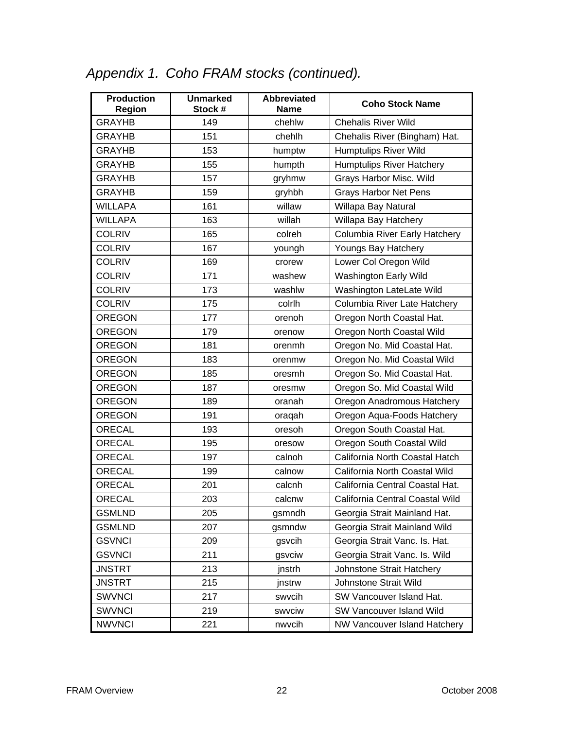# *Appendix 1. Coho FRAM stocks (continued).*

| <b>Production</b><br>Region | <b>Unmarked</b><br>Stock # | <b>Abbreviated</b><br><b>Name</b> | <b>Coho Stock Name</b>           |
|-----------------------------|----------------------------|-----------------------------------|----------------------------------|
| <b>GRAYHB</b>               | 149                        | chehlw                            | <b>Chehalis River Wild</b>       |
| <b>GRAYHB</b>               | 151                        | chehlh                            | Chehalis River (Bingham) Hat.    |
| <b>GRAYHB</b>               | 153                        | humptw                            | <b>Humptulips River Wild</b>     |
| <b>GRAYHB</b>               | 155                        | humpth                            | <b>Humptulips River Hatchery</b> |
| <b>GRAYHB</b>               | 157                        | gryhmw                            | Grays Harbor Misc. Wild          |
| <b>GRAYHB</b>               | 159                        | gryhbh                            | <b>Grays Harbor Net Pens</b>     |
| <b>WILLAPA</b>              | 161                        | willaw                            | Willapa Bay Natural              |
| <b>WILLAPA</b>              | 163                        | willah                            | Willapa Bay Hatchery             |
| <b>COLRIV</b>               | 165                        | colreh                            | Columbia River Early Hatchery    |
| <b>COLRIV</b>               | 167                        | youngh                            | Youngs Bay Hatchery              |
| <b>COLRIV</b>               | 169                        | crorew                            | Lower Col Oregon Wild            |
| <b>COLRIV</b>               | 171                        | washew                            | <b>Washington Early Wild</b>     |
| <b>COLRIV</b>               | 173                        | washlw                            | Washington LateLate Wild         |
| <b>COLRIV</b>               | 175                        | colrlh                            | Columbia River Late Hatchery     |
| <b>OREGON</b>               | 177                        | orenoh                            | Oregon North Coastal Hat.        |
| <b>OREGON</b>               | 179                        | orenow                            | Oregon North Coastal Wild        |
| <b>OREGON</b>               | 181                        | orenmh                            | Oregon No. Mid Coastal Hat.      |
| <b>OREGON</b>               | 183                        | orenmw                            | Oregon No. Mid Coastal Wild      |
| <b>OREGON</b>               | 185                        | oresmh                            | Oregon So. Mid Coastal Hat.      |
| <b>OREGON</b>               | 187                        | oresmw                            | Oregon So. Mid Coastal Wild      |
| <b>OREGON</b>               | 189                        | oranah                            | Oregon Anadromous Hatchery       |
| <b>OREGON</b>               | 191                        | oragah                            | Oregon Aqua-Foods Hatchery       |
| <b>ORECAL</b>               | 193                        | oresoh                            | Oregon South Coastal Hat.        |
| ORECAL                      | 195                        | oresow                            | Oregon South Coastal Wild        |
| <b>ORECAL</b>               | 197                        | calnoh                            | California North Coastal Hatch   |
| ORECAL                      | 199                        | calnow                            | California North Coastal Wild    |
| <b>ORECAL</b>               | 201                        | calcnh                            | California Central Coastal Hat.  |
| <b>ORECAL</b>               | 203                        | calcnw                            | California Central Coastal Wild  |
| <b>GSMLND</b>               | 205                        | gsmndh                            | Georgia Strait Mainland Hat.     |
| <b>GSMLND</b>               | 207                        | gsmndw                            | Georgia Strait Mainland Wild     |
| <b>GSVNCI</b>               | 209                        | gsvcih                            | Georgia Strait Vanc. Is. Hat.    |
| <b>GSVNCI</b>               | 211                        | gsvciw                            | Georgia Strait Vanc. Is. Wild    |
| <b>JNSTRT</b>               | 213                        | jnstrh                            | Johnstone Strait Hatchery        |
| <b>JNSTRT</b>               | 215                        | jnstrw                            | Johnstone Strait Wild            |
| <b>SWVNCI</b>               | 217                        | swycih                            | SW Vancouver Island Hat.         |
| <b>SWVNCI</b>               | 219                        | swyciw                            | SW Vancouver Island Wild         |
| <b>NWVNCI</b>               | 221                        | nwvcih                            | NW Vancouver Island Hatchery     |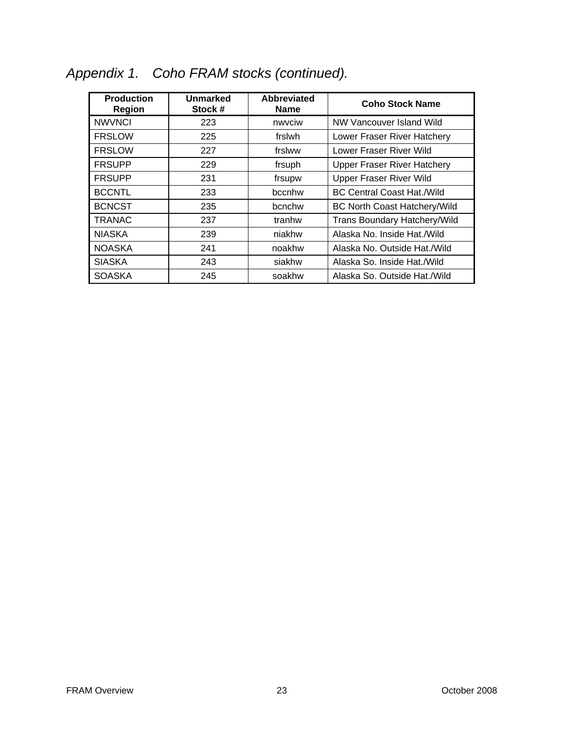| <b>Production</b><br><b>Region</b> | <b>Unmarked</b><br>Stock # | <b>Abbreviated</b><br><b>Name</b> | <b>Coho Stock Name</b>              |
|------------------------------------|----------------------------|-----------------------------------|-------------------------------------|
| <b>NWVNCI</b>                      | 223                        | nwvciw                            | NW Vancouver Island Wild            |
| <b>FRSLOW</b>                      | 225                        | frslwh                            | Lower Fraser River Hatchery         |
| <b>FRSLOW</b>                      | 227                        | frslww                            | Lower Fraser River Wild             |
| <b>FRSUPP</b>                      | 229                        | frsuph                            | <b>Upper Fraser River Hatchery</b>  |
| <b>FRSUPP</b>                      | 231                        | frsupw                            | <b>Upper Fraser River Wild</b>      |
| <b>BCCNTL</b>                      | 233                        | bccnhw                            | <b>BC Central Coast Hat./Wild</b>   |
| <b>BCNCST</b>                      | 235                        | bcnchw                            | <b>BC North Coast Hatchery/Wild</b> |
| TRANAC                             | 237                        | tranhw                            | <b>Trans Boundary Hatchery/Wild</b> |
| <b>NIASKA</b>                      | 239                        | niakhw                            | Alaska No. Inside Hat./Wild         |
| <b>NOASKA</b>                      | 241                        | noakhw                            | Alaska No. Outside Hat./Wild        |
| <b>SIASKA</b>                      | 243                        | siakhw                            | Alaska So. Inside Hat./Wild         |
| <b>SOASKA</b>                      | 245                        | soakhw                            | Alaska So. Outside Hat./Wild        |

# *Appendix 1. Coho FRAM stocks (continued).*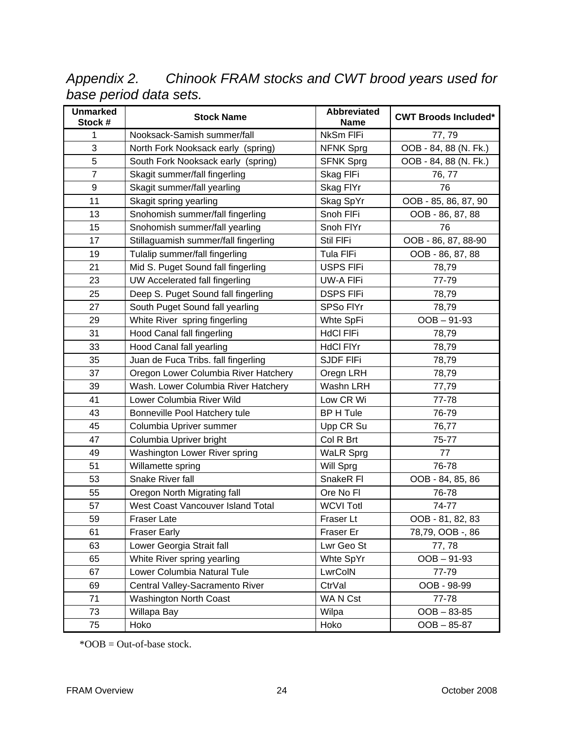*Appendix 2. Chinook FRAM stocks and CWT brood years used for base period data sets.* 

| <b>Unmarked</b><br>Stock # | <b>Stock Name</b>                    | <b>Abbreviated</b><br><b>Name</b> | <b>CWT Broods Included*</b> |
|----------------------------|--------------------------------------|-----------------------------------|-----------------------------|
| 1                          | Nooksack-Samish summer/fall          | NkSm FIFi                         | 77, 79                      |
| 3                          | North Fork Nooksack early (spring)   | <b>NFNK Sprg</b>                  | OOB - 84, 88 (N. Fk.)       |
| 5                          | South Fork Nooksack early (spring)   | <b>SFNK Sprg</b>                  | OOB - 84, 88 (N. Fk.)       |
| $\overline{7}$             | Skagit summer/fall fingerling        | Skag FIFi                         | 76, 77                      |
| $\boldsymbol{9}$           | Skagit summer/fall yearling          | Skag FIYr                         | 76                          |
| 11                         | Skagit spring yearling               | Skag SpYr                         | OOB - 85, 86, 87, 90        |
| 13                         | Snohomish summer/fall fingerling     | Snoh FIFi                         | OOB - 86, 87, 88            |
| 15                         | Snohomish summer/fall yearling       | Snoh FIYr                         | 76                          |
| 17                         | Stillaguamish summer/fall fingerling | Stil FIFi                         | OOB - 86, 87, 88-90         |
| 19                         | Tulalip summer/fall fingerling       | Tula FIFi                         | OOB - 86, 87, 88            |
| 21                         | Mid S. Puget Sound fall fingerling   | <b>USPS FIFi</b>                  | 78,79                       |
| 23                         | UW Accelerated fall fingerling       | UW-A FIFi                         | 77-79                       |
| 25                         | Deep S. Puget Sound fall fingerling  | <b>DSPS FIFI</b>                  | 78,79                       |
| 27                         | South Puget Sound fall yearling      | SPSo FlYr                         | 78,79                       |
| 29                         | White River spring fingerling        | Whte SpFi                         | $OOB - 91-93$               |
| 31                         | Hood Canal fall fingerling           | <b>HdCl FIFi</b>                  | 78,79                       |
| 33                         | Hood Canal fall yearling             | <b>HdCl FIYr</b>                  | 78,79                       |
| 35                         | Juan de Fuca Tribs. fall fingerling  | <b>SJDF FIFi</b>                  | 78,79                       |
| 37                         | Oregon Lower Columbia River Hatchery | Oregn LRH                         | 78,79                       |
| 39                         | Wash. Lower Columbia River Hatchery  | Washn LRH                         | 77,79                       |
| 41                         | Lower Columbia River Wild            | Low CR Wi                         | 77-78                       |
| 43                         | Bonneville Pool Hatchery tule        | BP H Tule                         | 76-79                       |
| 45                         | Columbia Upriver summer              | Upp CR Su                         | 76,77                       |
| 47                         | Columbia Upriver bright              | Col R Brt                         | 75-77                       |
| 49                         | Washington Lower River spring        | <b>WaLR Sprg</b>                  | 77                          |
| 51                         | Willamette spring                    | Will Sprg                         | 76-78                       |
| 53                         | Snake River fall                     | SnakeR FI                         | OOB - 84, 85, 86            |
| 55                         | Oregon North Migrating fall          | Ore No Fl                         | 76-78                       |
| 57                         | West Coast Vancouver Island Total    | <b>WCVI Totl</b>                  | 74-77                       |
| 59                         | Fraser Late                          | Fraser Lt                         | OOB - 81, 82, 83            |
| 61                         | <b>Fraser Early</b>                  | Fraser Er                         | 78,79, OOB -, 86            |
| 63                         | Lower Georgia Strait fall            | Lwr Geo St                        | 77,78                       |
| 65                         | White River spring yearling          | Whte SpYr                         | $OOB - 91-93$               |
| 67                         | Lower Columbia Natural Tule          | LwrColN                           | 77-79                       |
| 69                         | Central Valley-Sacramento River      | CtrVal                            | OOB - 98-99                 |
| 71                         | <b>Washington North Coast</b>        | WA N Cst                          | 77-78                       |
| 73                         | Willapa Bay                          | Wilpa                             | $OOB - 83-85$               |
| 75                         | Hoko                                 | Hoko                              | $OOB - 85-87$               |

 $*OOB = Out-of-base stock.$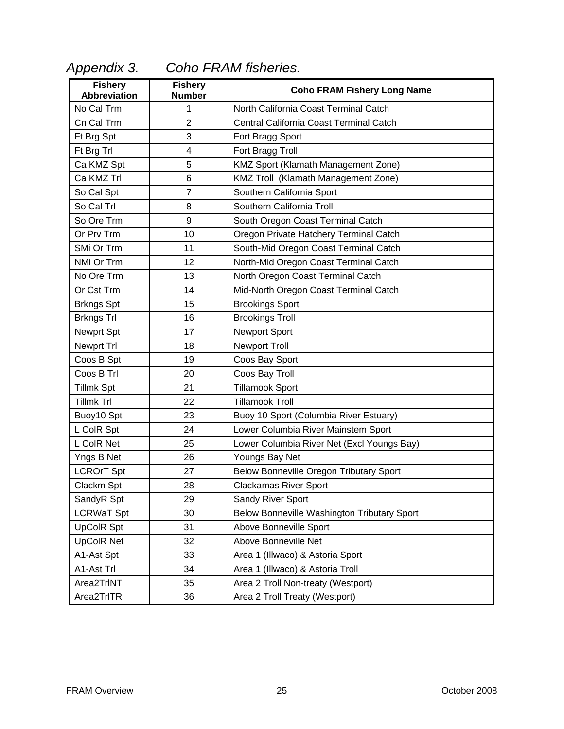| <b>Fishery</b><br><b>Abbreviation</b> | <b>Fishery</b><br><b>Number</b> | <b>Coho FRAM Fishery Long Name</b>          |
|---------------------------------------|---------------------------------|---------------------------------------------|
| No Cal Trm                            | 1                               | North California Coast Terminal Catch       |
| Cn Cal Trm                            | $\overline{2}$                  | Central California Coast Terminal Catch     |
| Ft Brg Spt                            | 3                               | Fort Bragg Sport                            |
| Ft Brg Trl                            | 4                               | Fort Bragg Troll                            |
| Ca KMZ Spt                            | 5                               | KMZ Sport (Klamath Management Zone)         |
| Ca KMZ Trl                            | 6                               | KMZ Troll (Klamath Management Zone)         |
| So Cal Spt                            | $\overline{7}$                  | Southern California Sport                   |
| So Cal Trl                            | 8                               | Southern California Troll                   |
| So Ore Trm                            | 9                               | South Oregon Coast Terminal Catch           |
| Or Prv Trm                            | 10                              | Oregon Private Hatchery Terminal Catch      |
| SMi Or Trm                            | 11                              | South-Mid Oregon Coast Terminal Catch       |
| NMi Or Trm                            | 12                              | North-Mid Oregon Coast Terminal Catch       |
| No Ore Trm                            | 13                              | North Oregon Coast Terminal Catch           |
| Or Cst Trm                            | 14                              | Mid-North Oregon Coast Terminal Catch       |
| <b>Brkngs Spt</b>                     | 15                              | <b>Brookings Sport</b>                      |
| <b>Brkngs Trl</b>                     | 16                              | <b>Brookings Troll</b>                      |
| Newprt Spt                            | 17                              | Newport Sport                               |
| Newprt Trl                            | 18                              | <b>Newport Troll</b>                        |
| Coos B Spt                            | 19                              | Coos Bay Sport                              |
| Coos B Trl                            | 20                              | Coos Bay Troll                              |
| <b>Tillmk Spt</b>                     | 21                              | <b>Tillamook Sport</b>                      |
| <b>Tillmk Trl</b>                     | 22                              | <b>Tillamook Troll</b>                      |
| Buoy10 Spt                            | 23                              | Buoy 10 Sport (Columbia River Estuary)      |
| L ColR Spt                            | 24                              | Lower Columbia River Mainstem Sport         |
| L ColR Net                            | 25                              | Lower Columbia River Net (Excl Youngs Bay)  |
| Yngs B Net                            | 26                              | Youngs Bay Net                              |
| <b>LCROrT Spt</b>                     | 27                              | Below Bonneville Oregon Tributary Sport     |
| Clackm Spt                            | 28                              | <b>Clackamas River Sport</b>                |
| SandyR Spt                            | 29                              | Sandy River Sport                           |
| <b>LCRWaT Spt</b>                     | 30                              | Below Bonneville Washington Tributary Sport |
| <b>UpCoIR Spt</b>                     | 31                              | Above Bonneville Sport                      |
| <b>UpCoIR Net</b>                     | 32                              | Above Bonneville Net                        |
| A1-Ast Spt                            | 33                              | Area 1 (Illwaco) & Astoria Sport            |
| A1-Ast Trl                            | 34                              | Area 1 (Illwaco) & Astoria Troll            |
| Area2TrlNT                            | 35                              | Area 2 Troll Non-treaty (Westport)          |
| Area2TrlTR                            | 36                              | Area 2 Troll Treaty (Westport)              |

# *Appendix 3. Coho FRAM fisheries.*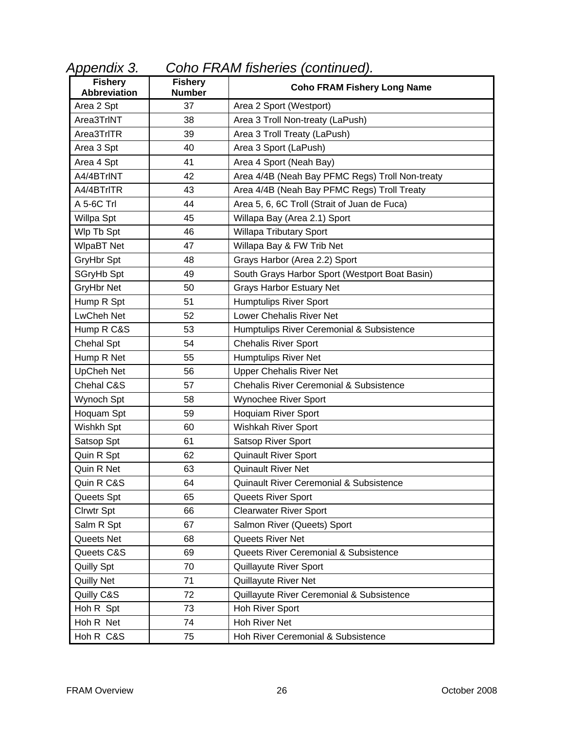| <b>Fishery</b><br><b>Abbreviation</b> | <b>Fishery</b><br><b>Number</b> | <b>Coho FRAM Fishery Long Name</b>                 |
|---------------------------------------|---------------------------------|----------------------------------------------------|
| Area 2 Spt                            | 37                              | Area 2 Sport (Westport)                            |
| Area3TrlNT                            | 38                              | Area 3 Troll Non-treaty (LaPush)                   |
| Area3TrITR                            | 39                              | Area 3 Troll Treaty (LaPush)                       |
| Area 3 Spt                            | 40                              | Area 3 Sport (LaPush)                              |
| Area 4 Spt                            | 41                              | Area 4 Sport (Neah Bay)                            |
| A4/4BTrINT                            | 42                              | Area 4/4B (Neah Bay PFMC Regs) Troll Non-treaty    |
| A4/4BTrITR                            | 43                              | Area 4/4B (Neah Bay PFMC Regs) Troll Treaty        |
| A 5-6C Trl                            | 44                              | Area 5, 6, 6C Troll (Strait of Juan de Fuca)       |
| Willpa Spt                            | 45                              | Willapa Bay (Area 2.1) Sport                       |
| Wlp Tb Spt                            | 46                              | <b>Willapa Tributary Sport</b>                     |
| <b>WIpaBT Net</b>                     | 47                              | Willapa Bay & FW Trib Net                          |
| GryHbr Spt                            | 48                              | Grays Harbor (Area 2.2) Sport                      |
| SGryHb Spt                            | 49                              | South Grays Harbor Sport (Westport Boat Basin)     |
| GryHbr Net                            | 50                              | <b>Grays Harbor Estuary Net</b>                    |
| Hump R Spt                            | 51                              | <b>Humptulips River Sport</b>                      |
| <b>LwCheh Net</b>                     | 52                              | Lower Chehalis River Net                           |
| Hump R C&S                            | 53                              | Humptulips River Ceremonial & Subsistence          |
| Chehal Spt                            | 54                              | <b>Chehalis River Sport</b>                        |
| Hump R Net                            | 55                              | <b>Humptulips River Net</b>                        |
| <b>UpCheh Net</b>                     | 56                              | <b>Upper Chehalis River Net</b>                    |
| Chehal C&S                            | 57                              | <b>Chehalis River Ceremonial &amp; Subsistence</b> |
| Wynoch Spt                            | 58                              | Wynochee River Sport                               |
| Hoquam Spt                            | 59                              | <b>Hoquiam River Sport</b>                         |
| Wishkh Spt                            | 60                              | Wishkah River Sport                                |
| Satsop Spt                            | 61                              | Satsop River Sport                                 |
| Quin R Spt                            | 62                              | <b>Quinault River Sport</b>                        |
| Quin R Net                            | 63                              | <b>Quinault River Net</b>                          |
| Quin R C&S                            | 64                              | Quinault River Ceremonial & Subsistence            |
| Queets Spt                            | 65                              | Queets River Sport                                 |
| Clrwtr Spt                            | 66                              | <b>Clearwater River Sport</b>                      |
| Salm R Spt                            | 67                              | Salmon River (Queets) Sport                        |
| Queets Net                            | 68                              | Queets River Net                                   |
| Queets C&S                            | 69                              | Queets River Ceremonial & Subsistence              |
| Quilly Spt                            | 70                              | Quillayute River Sport                             |
| <b>Quilly Net</b>                     | 71                              | Quillayute River Net                               |
| Quilly C&S                            | 72                              | Quillayute River Ceremonial & Subsistence          |
| Hoh R Spt                             | 73                              | Hoh River Sport                                    |
| Hoh R Net                             | 74                              | Hoh River Net                                      |
| Hoh R C&S                             | 75                              | Hoh River Ceremonial & Subsistence                 |

*Appendix 3. Coho FRAM fisheries (continued).*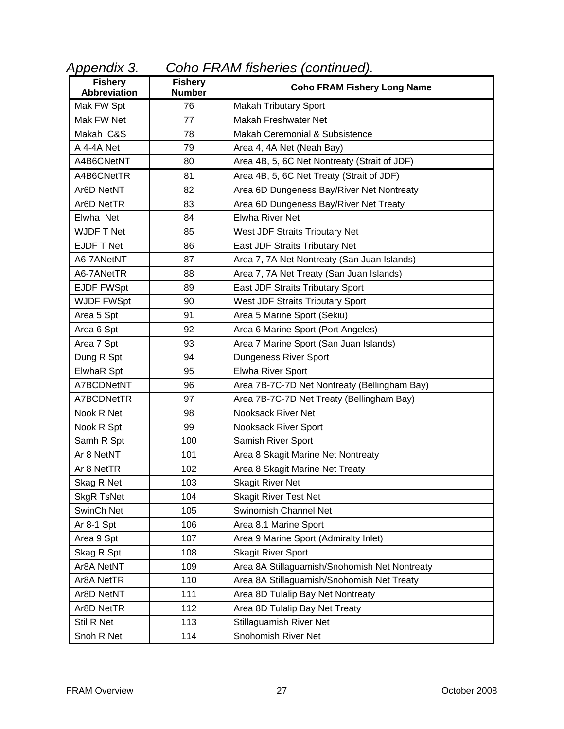| Appendix 3. | Coho FRAM fisheries (continued). |  |  |
|-------------|----------------------------------|--|--|
|-------------|----------------------------------|--|--|

| <b>Fishery</b><br><b>Abbreviation</b> | <b>Fishery</b><br><b>Number</b> | <b>Coho FRAM Fishery Long Name</b>            |
|---------------------------------------|---------------------------------|-----------------------------------------------|
| Mak FW Spt                            | 76                              | <b>Makah Tributary Sport</b>                  |
| Mak FW Net                            | 77                              | Makah Freshwater Net                          |
| Makah C&S                             | 78                              | Makah Ceremonial & Subsistence                |
| A 4-4A Net                            | 79                              | Area 4, 4A Net (Neah Bay)                     |
| A4B6CNetNT                            | 80                              | Area 4B, 5, 6C Net Nontreaty (Strait of JDF)  |
| A4B6CNetTR                            | 81                              | Area 4B, 5, 6C Net Treaty (Strait of JDF)     |
| Ar6D NetNT                            | 82                              | Area 6D Dungeness Bay/River Net Nontreaty     |
| Ar6D NetTR                            | 83                              | Area 6D Dungeness Bay/River Net Treaty        |
| Elwha Net                             | 84                              | <b>Elwha River Net</b>                        |
| <b>WJDF T Net</b>                     | 85                              | West JDF Straits Tributary Net                |
| EJDF T Net                            | 86                              | East JDF Straits Tributary Net                |
| A6-7ANetNT                            | 87                              | Area 7, 7A Net Nontreaty (San Juan Islands)   |
| A6-7ANetTR                            | 88                              | Area 7, 7A Net Treaty (San Juan Islands)      |
| <b>EJDF FWSpt</b>                     | 89                              | East JDF Straits Tributary Sport              |
| <b>WJDF FWSpt</b>                     | 90                              | West JDF Straits Tributary Sport              |
| Area 5 Spt                            | 91                              | Area 5 Marine Sport (Sekiu)                   |
| Area 6 Spt                            | 92                              | Area 6 Marine Sport (Port Angeles)            |
| Area 7 Spt                            | 93                              | Area 7 Marine Sport (San Juan Islands)        |
| Dung R Spt                            | 94                              | Dungeness River Sport                         |
| ElwhaR Spt                            | 95                              | <b>Elwha River Sport</b>                      |
| A7BCDNetNT                            | 96                              | Area 7B-7C-7D Net Nontreaty (Bellingham Bay)  |
| A7BCDNetTR                            | 97                              | Area 7B-7C-7D Net Treaty (Bellingham Bay)     |
| Nook R Net                            | 98                              | <b>Nooksack River Net</b>                     |
| Nook R Spt                            | 99                              | Nooksack River Sport                          |
| Samh R Spt                            | 100                             | Samish River Sport                            |
| Ar 8 NetNT                            | 101                             | Area 8 Skagit Marine Net Nontreaty            |
| Ar 8 NetTR                            | 102                             | Area 8 Skagit Marine Net Treaty               |
| Skag R Net                            | 103                             | <b>Skagit River Net</b>                       |
| <b>SkgR TsNet</b>                     | 104                             | <b>Skagit River Test Net</b>                  |
| SwinCh Net                            | 105                             | Swinomish Channel Net                         |
| Ar 8-1 Spt                            | 106                             | Area 8.1 Marine Sport                         |
| Area 9 Spt                            | 107                             | Area 9 Marine Sport (Admiralty Inlet)         |
| Skag R Spt                            | 108                             | <b>Skagit River Sport</b>                     |
| Ar8A NetNT                            | 109                             | Area 8A Stillaguamish/Snohomish Net Nontreaty |
| Ar8A NetTR                            | 110                             | Area 8A Stillaguamish/Snohomish Net Treaty    |
| Ar8D NetNT                            | 111                             | Area 8D Tulalip Bay Net Nontreaty             |
| Ar8D NetTR                            | 112                             | Area 8D Tulalip Bay Net Treaty                |
| Stil R Net                            | 113                             | <b>Stillaguamish River Net</b>                |
| Snoh R Net                            | 114                             | Snohomish River Net                           |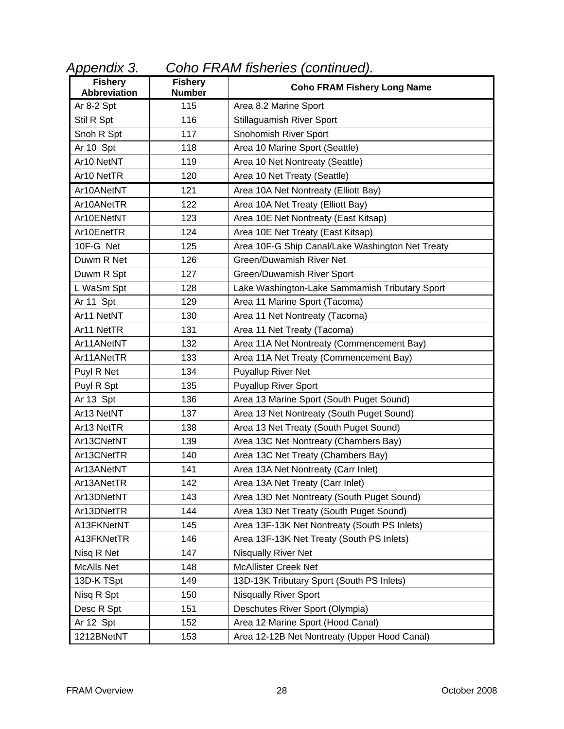| <b>Fishery</b><br><b>Abbreviation</b> | <b>Fishery</b><br><b>Number</b> | <b>Coho FRAM Fishery Long Name</b>               |
|---------------------------------------|---------------------------------|--------------------------------------------------|
| Ar 8-2 Spt                            | 115                             | Area 8.2 Marine Sport                            |
| Stil R Spt                            | 116                             | Stillaguamish River Sport                        |
| Snoh R Spt                            | 117                             | Snohomish River Sport                            |
| Ar 10 Spt                             | 118                             | Area 10 Marine Sport (Seattle)                   |
| Ar10 NetNT                            | 119                             | Area 10 Net Nontreaty (Seattle)                  |
| Ar10 NetTR                            | 120                             | Area 10 Net Treaty (Seattle)                     |
| Ar10ANetNT                            | 121                             | Area 10A Net Nontreaty (Elliott Bay)             |
| Ar10ANetTR                            | 122                             | Area 10A Net Treaty (Elliott Bay)                |
| Ar10ENetNT                            | 123                             | Area 10E Net Nontreaty (East Kitsap)             |
| Ar10EnetTR                            | 124                             | Area 10E Net Treaty (East Kitsap)                |
| 10F-G Net                             | 125                             | Area 10F-G Ship Canal/Lake Washington Net Treaty |
| Duwm R Net                            | 126                             | <b>Green/Duwamish River Net</b>                  |
| Duwm R Spt                            | 127                             | Green/Duwamish River Sport                       |
| L WaSm Spt                            | 128                             | Lake Washington-Lake Sammamish Tributary Sport   |
| Ar 11 Spt                             | 129                             | Area 11 Marine Sport (Tacoma)                    |
| Ar11 NetNT                            | 130                             | Area 11 Net Nontreaty (Tacoma)                   |
| Ar11 NetTR                            | 131                             | Area 11 Net Treaty (Tacoma)                      |
| Ar11ANetNT                            | 132                             | Area 11A Net Nontreaty (Commencement Bay)        |
| Ar11ANetTR                            | 133                             | Area 11A Net Treaty (Commencement Bay)           |
| Puyl R Net                            | 134                             | <b>Puyallup River Net</b>                        |
| Puyl R Spt                            | 135                             | <b>Puyallup River Sport</b>                      |
| Ar 13 Spt                             | 136                             | Area 13 Marine Sport (South Puget Sound)         |
| Ar13 NetNT                            | 137                             | Area 13 Net Nontreaty (South Puget Sound)        |
| Ar13 NetTR                            | 138                             | Area 13 Net Treaty (South Puget Sound)           |
| Ar13CNetNT                            | 139                             | Area 13C Net Nontreaty (Chambers Bay)            |
| Ar13CNetTR                            | 140                             | Area 13C Net Treaty (Chambers Bay)               |
| Ar13ANetNT                            | 141                             | Area 13A Net Nontreaty (Carr Inlet)              |
| Ar13ANetTR                            | 142                             | Area 13A Net Treaty (Carr Inlet)                 |
| Ar13DNetNT                            | 143                             | Area 13D Net Nontreaty (South Puget Sound)       |
| Ar13DNetTR                            | 144                             | Area 13D Net Treaty (South Puget Sound)          |
| A13FKNetNT                            | 145                             | Area 13F-13K Net Nontreaty (South PS Inlets)     |
| A13FKNetTR                            | 146                             | Area 13F-13K Net Treaty (South PS Inlets)        |
| Nisq R Net                            | 147                             | Nisqually River Net                              |
| <b>McAlls Net</b>                     | 148                             | <b>McAllister Creek Net</b>                      |
| 13D-K TSpt                            | 149                             | 13D-13K Tributary Sport (South PS Inlets)        |
| Nisq R Spt                            | 150                             | <b>Nisqually River Sport</b>                     |
| Desc R Spt                            | 151                             | Deschutes River Sport (Olympia)                  |
| Ar 12 Spt                             | 152                             | Area 12 Marine Sport (Hood Canal)                |
| 1212BNetNT                            | 153                             | Area 12-12B Net Nontreaty (Upper Hood Canal)     |

*Appendix 3. Coho FRAM fisheries (continued).*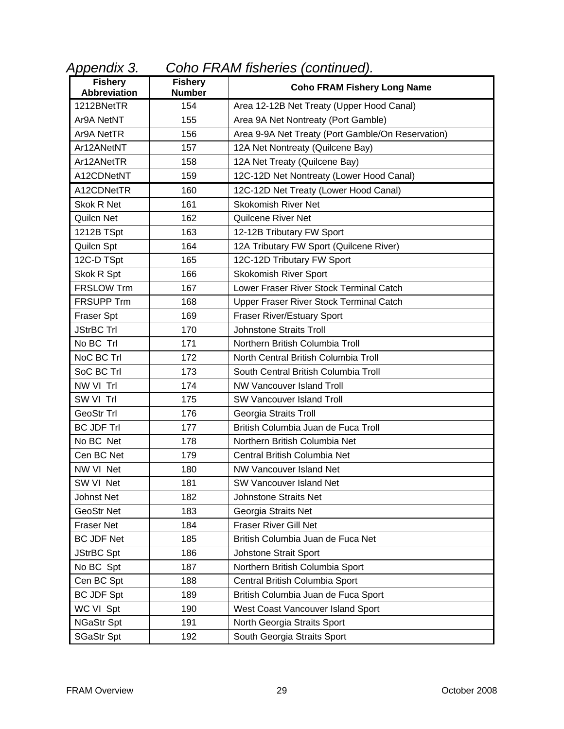| Appendix 3. | Coho FRAM fisheries (continued). |  |
|-------------|----------------------------------|--|
|-------------|----------------------------------|--|

| <b>Fishery</b><br><b>Abbreviation</b> | <b>Fishery</b><br><b>Number</b> | <b>Coho FRAM Fishery Long Name</b>                |
|---------------------------------------|---------------------------------|---------------------------------------------------|
| 1212BNetTR                            | 154                             | Area 12-12B Net Treaty (Upper Hood Canal)         |
| Ar9A NetNT                            | 155                             | Area 9A Net Nontreaty (Port Gamble)               |
| Ar9A NetTR                            | 156                             | Area 9-9A Net Treaty (Port Gamble/On Reservation) |
| Ar12ANetNT                            | 157                             | 12A Net Nontreaty (Quilcene Bay)                  |
| Ar12ANetTR                            | 158                             | 12A Net Treaty (Quilcene Bay)                     |
| A12CDNetNT                            | 159                             | 12C-12D Net Nontreaty (Lower Hood Canal)          |
| A12CDNetTR                            | 160                             | 12C-12D Net Treaty (Lower Hood Canal)             |
| Skok R Net                            | 161                             | <b>Skokomish River Net</b>                        |
| <b>Quilcn Net</b>                     | 162                             | <b>Quilcene River Net</b>                         |
| 1212B TSpt                            | 163                             | 12-12B Tributary FW Sport                         |
| Quilcn Spt                            | 164                             | 12A Tributary FW Sport (Quilcene River)           |
| 12C-D TSpt                            | 165                             | 12C-12D Tributary FW Sport                        |
| Skok R Spt                            | 166                             | <b>Skokomish River Sport</b>                      |
| <b>FRSLOW Trm</b>                     | 167                             | Lower Fraser River Stock Terminal Catch           |
| <b>FRSUPP Trm</b>                     | 168                             | Upper Fraser River Stock Terminal Catch           |
| <b>Fraser Spt</b>                     | 169                             | <b>Fraser River/Estuary Sport</b>                 |
| <b>JStrBC Trl</b>                     | 170                             | <b>Johnstone Straits Troll</b>                    |
| No BC Trl                             | 171                             | Northern British Columbia Troll                   |
| NoC BC Trl                            | 172                             | North Central British Columbia Troll              |
| SoC BC Trl                            | 173                             | South Central British Columbia Troll              |
| NW VI Trl                             | 174                             | <b>NW Vancouver Island Troll</b>                  |
| SW VI Trl                             | 175                             | <b>SW Vancouver Island Troll</b>                  |
| GeoStr Trl                            | 176                             | Georgia Straits Troll                             |
| <b>BC JDF Trl</b>                     | 177                             | British Columbia Juan de Fuca Troll               |
| No BC Net                             | 178                             | Northern British Columbia Net                     |
| Cen BC Net                            | 179                             | Central British Columbia Net                      |
| NW VI Net                             | 180                             | NW Vancouver Island Net                           |
| SW VI Net                             | 181                             | <b>SW Vancouver Island Net</b>                    |
| Johnst Net                            | 182                             | <b>Johnstone Straits Net</b>                      |
| GeoStr Net                            | 183                             | Georgia Straits Net                               |
| <b>Fraser Net</b>                     | 184                             | <b>Fraser River Gill Net</b>                      |
| <b>BC JDF Net</b>                     | 185                             | British Columbia Juan de Fuca Net                 |
| <b>JStrBC Spt</b>                     | 186                             | Johstone Strait Sport                             |
| No BC Spt                             | 187                             | Northern British Columbia Sport                   |
| Cen BC Spt                            | 188                             | Central British Columbia Sport                    |
| <b>BC JDF Spt</b>                     | 189                             | British Columbia Juan de Fuca Sport               |
| WC VI Spt                             | 190                             | West Coast Vancouver Island Sport                 |
| <b>NGaStr Spt</b>                     | 191                             | North Georgia Straits Sport                       |
| <b>SGaStr Spt</b>                     | 192                             | South Georgia Straits Sport                       |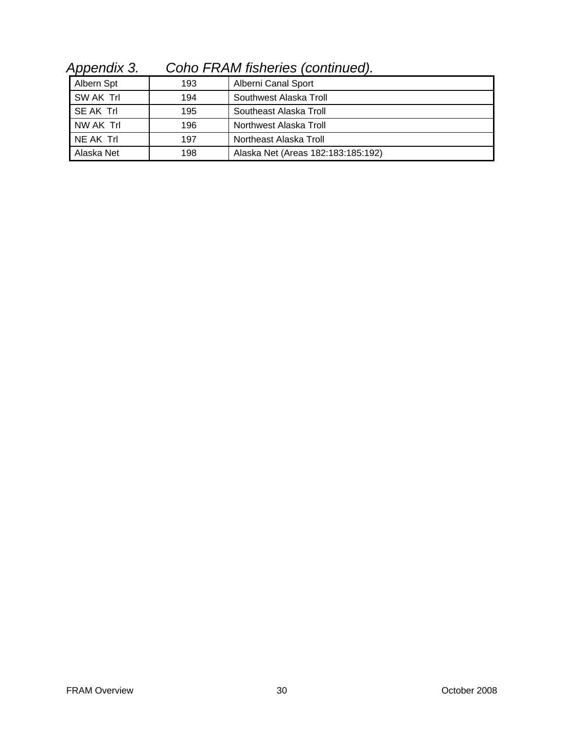| Albern Spt | 193 | Alberni Canal Sport                |
|------------|-----|------------------------------------|
| SW AK Trl  | 194 | Southwest Alaska Troll             |
| SE AK Trl  | 195 | Southeast Alaska Troll             |
| NW AK Trl  | 196 | Northwest Alaska Troll             |
| NE AK Trl  | 197 | Northeast Alaska Troll             |
| Alaska Net | 198 | Alaska Net (Areas 182:183:185:192) |

*Appendix 3. Coho FRAM fisheries (continued).*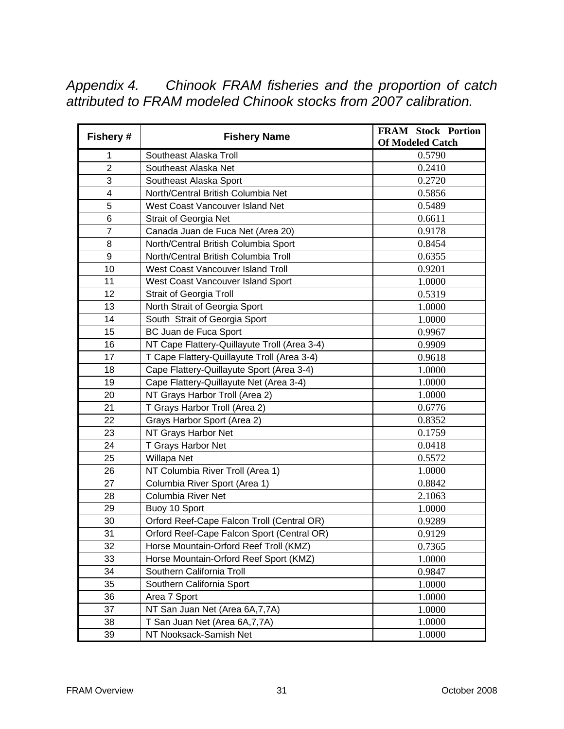*Appendix 4. Chinook FRAM fisheries and the proportion of catch attributed to FRAM modeled Chinook stocks from 2007 calibration.* 

| Fishery #               | <b>Fishery Name</b>                          | <b>FRAM Stock Portion</b><br><b>Of Modeled Catch</b> |
|-------------------------|----------------------------------------------|------------------------------------------------------|
| 1                       | Southeast Alaska Troll                       | 0.5790                                               |
| $\overline{2}$          | Southeast Alaska Net                         | 0.2410                                               |
| 3                       | Southeast Alaska Sport                       | 0.2720                                               |
| $\overline{\mathbf{4}}$ | North/Central British Columbia Net           | 0.5856                                               |
| 5                       | West Coast Vancouver Island Net              | 0.5489                                               |
| 6                       | <b>Strait of Georgia Net</b>                 | 0.6611                                               |
| $\overline{7}$          | Canada Juan de Fuca Net (Area 20)            | 0.9178                                               |
| 8                       | North/Central British Columbia Sport         | 0.8454                                               |
| 9                       | North/Central British Columbia Troll         | 0.6355                                               |
| 10                      | West Coast Vancouver Island Troll            | 0.9201                                               |
| 11                      | West Coast Vancouver Island Sport            | 1.0000                                               |
| 12                      | <b>Strait of Georgia Troll</b>               | 0.5319                                               |
| 13                      | North Strait of Georgia Sport                | 1.0000                                               |
| 14                      | South Strait of Georgia Sport                | 1.0000                                               |
| 15                      | BC Juan de Fuca Sport                        | 0.9967                                               |
| 16                      | NT Cape Flattery-Quillayute Troll (Area 3-4) | 0.9909                                               |
| 17                      | T Cape Flattery-Quillayute Troll (Area 3-4)  | 0.9618                                               |
| 18                      | Cape Flattery-Quillayute Sport (Area 3-4)    | 1.0000                                               |
| 19                      | Cape Flattery-Quillayute Net (Area 3-4)      | 1.0000                                               |
| 20                      | NT Grays Harbor Troll (Area 2)               | 1.0000                                               |
| 21                      | T Grays Harbor Troll (Area 2)                | 0.6776                                               |
| 22                      | Grays Harbor Sport (Area 2)                  | 0.8352                                               |
| 23                      | NT Grays Harbor Net                          | 0.1759                                               |
| 24                      | T Grays Harbor Net                           | 0.0418                                               |
| 25                      | Willapa Net                                  | 0.5572                                               |
| 26                      | NT Columbia River Troll (Area 1)             | 1.0000                                               |
| 27                      | Columbia River Sport (Area 1)                | 0.8842                                               |
| 28                      | <b>Columbia River Net</b>                    | 2.1063                                               |
| 29                      | Buoy 10 Sport                                | 1.0000                                               |
| 30                      | Orford Reef-Cape Falcon Troll (Central OR)   | 0.9289                                               |
| 31                      | Orford Reef-Cape Falcon Sport (Central OR)   | 0.9129                                               |
| 32                      | Horse Mountain-Orford Reef Troll (KMZ)       | 0.7365                                               |
| 33                      | Horse Mountain-Orford Reef Sport (KMZ)       | 1.0000                                               |
| 34                      | Southern California Troll                    | 0.9847                                               |
| 35                      | Southern California Sport                    | 1.0000                                               |
| 36                      | Area 7 Sport                                 | 1.0000                                               |
| 37                      | NT San Juan Net (Area 6A, 7, 7A)             | 1.0000                                               |
| 38                      | T San Juan Net (Area 6A, 7, 7A)              | 1.0000                                               |
| 39                      | NT Nooksack-Samish Net                       | 1.0000                                               |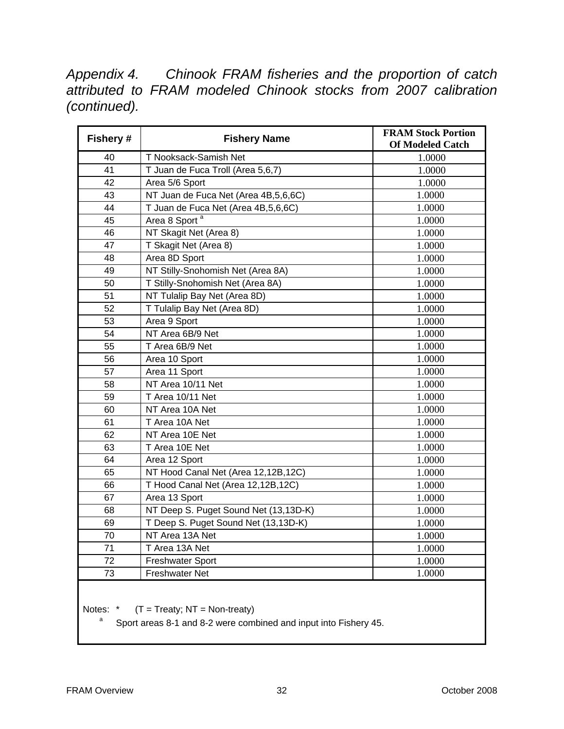*Appendix 4. Chinook FRAM fisheries and the proportion of catch attributed to FRAM modeled Chinook stocks from 2007 calibration (continued).* 

| Fishery # | <b>Fishery Name</b>                   | <b>FRAM Stock Portion</b><br><b>Of Modeled Catch</b> |
|-----------|---------------------------------------|------------------------------------------------------|
| 40        | T Nooksack-Samish Net                 | 1.0000                                               |
| 41        | T Juan de Fuca Troll (Area 5,6,7)     | 1.0000                                               |
| 42        | Area 5/6 Sport                        | 1.0000                                               |
| 43        | NT Juan de Fuca Net (Area 4B,5,6,6C)  | 1.0000                                               |
| 44        | T Juan de Fuca Net (Area 4B,5,6,6C)   | 1.0000                                               |
| 45        | Area 8 Sport <sup>a</sup>             | 1.0000                                               |
| 46        | NT Skagit Net (Area 8)                | 1.0000                                               |
| 47        | T Skagit Net (Area 8)                 | 1.0000                                               |
| 48        | Area 8D Sport                         | 1.0000                                               |
| 49        | NT Stilly-Snohomish Net (Area 8A)     | 1.0000                                               |
| 50        | T Stilly-Snohomish Net (Area 8A)      | 1.0000                                               |
| 51        | NT Tulalip Bay Net (Area 8D)          | 1.0000                                               |
| 52        | T Tulalip Bay Net (Area 8D)           | 1.0000                                               |
| 53        | Area 9 Sport                          | 1.0000                                               |
| 54        | NT Area 6B/9 Net                      | 1.0000                                               |
| 55        | T Area 6B/9 Net                       | 1.0000                                               |
| 56        | Area 10 Sport                         | 1.0000                                               |
| 57        | Area 11 Sport                         | 1.0000                                               |
| 58        | NT Area 10/11 Net                     | 1.0000                                               |
| 59        | T Area 10/11 Net                      | 1.0000                                               |
| 60        | NT Area 10A Net                       | 1.0000                                               |
| 61        | T Area 10A Net                        | 1.0000                                               |
| 62        | NT Area 10E Net                       | 1.0000                                               |
| 63        | T Area 10E Net                        | 1.0000                                               |
| 64        | Area 12 Sport                         | 1.0000                                               |
| 65        | NT Hood Canal Net (Area 12,12B,12C)   | 1.0000                                               |
| 66        | T Hood Canal Net (Area 12,12B,12C)    | 1.0000                                               |
| 67        | Area 13 Sport                         | 1.0000                                               |
| 68        | NT Deep S. Puget Sound Net (13,13D-K) | 1.0000                                               |
| 69        | T Deep S. Puget Sound Net (13,13D-K)  | 1.0000                                               |
| 70        | NT Area 13A Net                       | 1.0000                                               |
| 71        | T Area 13A Net                        | 1.0000                                               |
| 72        | <b>Freshwater Sport</b>               | 1.0000                                               |
| 73        | <b>Freshwater Net</b>                 | 1.0000                                               |

Notes:  $*$  (T = Treaty; NT = Non-treaty)

Sport areas 8-1 and 8-2 were combined and input into Fishery 45.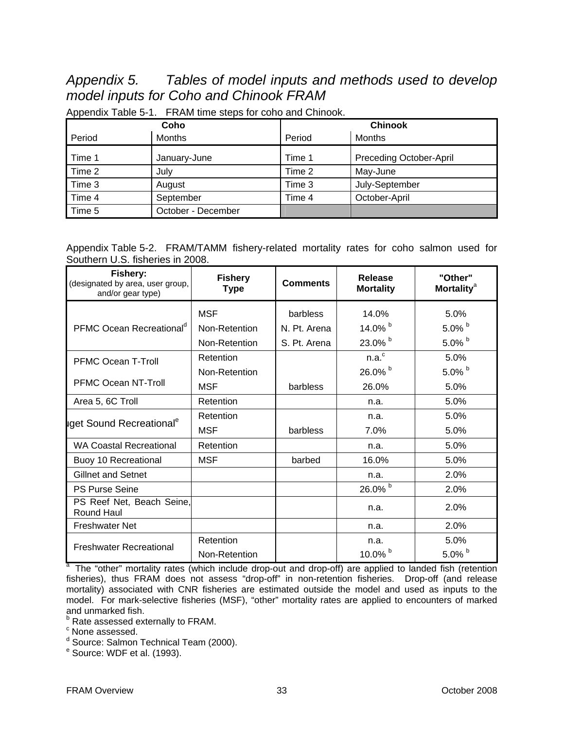## *Appendix 5. Tables of model inputs and methods used to develop model inputs for Coho and Chinook FRAM*

| Coho   |                    | <b>Chinook</b> |                         |  |
|--------|--------------------|----------------|-------------------------|--|
| Period | Months             | Period         | Months                  |  |
| Time 1 | January-June       | Time 1         | Preceding October-April |  |
| Time 2 | July               | Time 2         | May-June                |  |
| Time 3 | August             | Time 3         | July-September          |  |
| Time 4 | September          | Time 4         | October-April           |  |
| Time 5 | October - December |                |                         |  |

Appendix Table 5-1. FRAM time steps for coho and Chinook.

Appendix Table 5-2. FRAM/TAMM fishery-related mortality rates for coho salmon used for Southern U.S. fisheries in 2008.

| Fishery:<br>(designated by area, user group,<br>and/or gear type) | <b>Fishery</b><br><b>Type</b> | <b>Comments</b> | Release<br><b>Mortality</b> | "Other"<br><b>Mortality<sup>a</sup></b> |
|-------------------------------------------------------------------|-------------------------------|-----------------|-----------------------------|-----------------------------------------|
|                                                                   | <b>MSF</b>                    | barbless        | 14.0%                       | 5.0%                                    |
| PFMC Ocean Recreational <sup>d</sup>                              | Non-Retention                 | N. Pt. Arena    | 14.0% b                     | 5.0% $b$                                |
|                                                                   | Non-Retention                 | S. Pt. Arena    | 23.0% b                     | 5.0% $b$                                |
| <b>PFMC Ocean T-Troll</b>                                         | Retention                     |                 | n.a. <sup>c</sup>           | 5.0%                                    |
|                                                                   | Non-Retention                 |                 | 26.0% b                     | $5.0\%$ b                               |
| <b>PFMC Ocean NT-Troll</b>                                        | MSF                           | barbless        | 26.0%                       | 5.0%                                    |
| Area 5, 6C Troll                                                  | Retention                     |                 | n.a.                        | 5.0%                                    |
|                                                                   | Retention                     |                 | n.a.                        | 5.0%                                    |
| iget Sound Recreational <sup>e</sup>                              | <b>MSF</b>                    | barbless        | 7.0%                        | 5.0%                                    |
| <b>WA Coastal Recreational</b>                                    | Retention                     |                 | n.a.                        | 5.0%                                    |
| Buoy 10 Recreational                                              | <b>MSF</b>                    | barbed          | 16.0%                       | 5.0%                                    |
| <b>Gillnet and Setnet</b>                                         |                               |                 | n.a.                        | 2.0%                                    |
| <b>PS Purse Seine</b>                                             |                               |                 | 26.0% b                     | 2.0%                                    |
| PS Reef Net, Beach Seine,<br>Round Haul                           |                               |                 | n.a.                        | 2.0%                                    |
| <b>Freshwater Net</b>                                             |                               |                 | n.a.                        | 2.0%                                    |
| <b>Freshwater Recreational</b>                                    | Retention                     |                 | n.a.                        | 5.0%                                    |
|                                                                   | Non-Retention                 |                 | 10.0% $b$                   | $5.0\%$                                 |

<sup>a</sup> The "other" mortality rates (which include drop-out and drop-off) are applied to landed fish (retention fisheries), thus FRAM does not assess "drop-off" in non-retention fisheries. Drop-off (and release mortality) associated with CNR fisheries are estimated outside the model and used as inputs to the model. For mark-selective fisheries (MSF), "other" mortality rates are applied to encounters of marked and unmarked fish.

**b** Rate assessed externally to FRAM.

 $\degree$  None assessed.

<sup>d</sup> Source: Salmon Technical Team (2000).

<sup>e</sup> Source: WDF et al. (1993).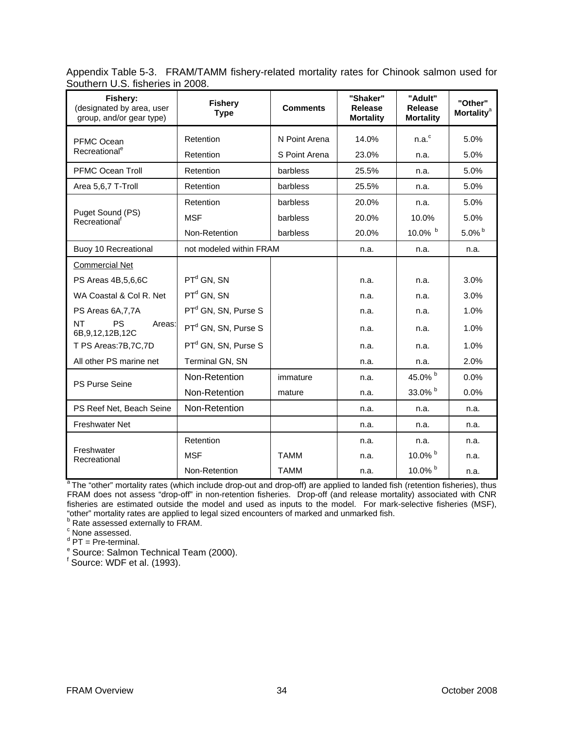Appendix Table 5-3. FRAM/TAMM fishery-related mortality rates for Chinook salmon used for Southern U.S. fisheries in 2008.

| Fishery:<br>(designated by area, user<br>group, and/or gear type) | <b>Fishery</b><br><b>Type</b>   | <b>Comments</b> | "Shaker"<br><b>Release</b><br><b>Mortality</b> | "Adult"<br><b>Release</b><br><b>Mortality</b> | "Other"<br><b>Mortality<sup>a</sup></b> |
|-------------------------------------------------------------------|---------------------------------|-----------------|------------------------------------------------|-----------------------------------------------|-----------------------------------------|
| PFMC Ocean                                                        | Retention                       | N Point Arena   | 14.0%                                          | n.a. <sup>c</sup>                             | 5.0%                                    |
| Recreational <sup>e</sup>                                         | Retention                       | S Point Arena   | 23.0%                                          | n.a.                                          | 5.0%                                    |
| <b>PFMC Ocean Troll</b>                                           | Retention                       | barbless        | 25.5%                                          | n.a.                                          | 5.0%                                    |
| Area 5,6,7 T-Troll                                                | Retention                       | barbless        | 25.5%                                          | n.a.                                          | 5.0%                                    |
|                                                                   | Retention                       | barbless        | 20.0%                                          | n.a.                                          | 5.0%                                    |
| Puget Sound (PS)<br>Recreational <sup>t</sup>                     | <b>MSF</b>                      | barbless        | 20.0%                                          | 10.0%                                         | 5.0%                                    |
|                                                                   | Non-Retention                   | barbless        | 20.0%                                          | 10.0% $b$                                     | $5.0\%$ <sup>b</sup>                    |
| Buoy 10 Recreational                                              | not modeled within FRAM         |                 | n.a.                                           | n.a.                                          | n.a.                                    |
| <b>Commercial Net</b>                                             |                                 |                 |                                                |                                               |                                         |
| PS Areas 4B,5,6,6C                                                | $PTd$ GN, SN                    |                 | n.a.                                           | n.a.                                          | 3.0%                                    |
| WA Coastal & Col R. Net                                           | $PTd$ GN, SN                    |                 | n.a.                                           | n.a.                                          | 3.0%                                    |
| PS Areas 6A, 7, 7A                                                | PT <sup>d</sup> GN, SN, Purse S |                 | n.a.                                           | n.a.                                          | 1.0%                                    |
| NT<br>PS<br>Areas:<br>6B, 9, 12, 12B, 12C                         | $PTd$ GN, SN, Purse S           |                 | n.a.                                           | n.a.                                          | 1.0%                                    |
| T PS Areas: 7B, 7C, 7D                                            | PT <sup>d</sup> GN, SN, Purse S |                 | n.a.                                           | n.a.                                          | 1.0%                                    |
| All other PS marine net                                           | Terminal GN, SN                 |                 | n.a.                                           | n.a.                                          | 2.0%                                    |
| PS Purse Seine                                                    | Non-Retention                   | immature        | n.a.                                           | 45.0% b                                       | 0.0%                                    |
|                                                                   | Non-Retention                   | mature          | n.a.                                           | 33.0% b                                       | 0.0%                                    |
| PS Reef Net, Beach Seine                                          | Non-Retention                   |                 | n.a.                                           | n.a.                                          | n.a.                                    |
| <b>Freshwater Net</b>                                             |                                 |                 | n.a.                                           | n.a.                                          | n.a.                                    |
|                                                                   | Retention                       |                 | n.a.                                           | n.a.                                          | n.a.                                    |
| Freshwater<br>Recreational                                        | <b>MSF</b>                      | <b>TAMM</b>     | n.a.                                           | 10.0% $^{\rm b}$                              | n.a.                                    |
|                                                                   | Non-Retention                   | <b>TAMM</b>     | n.a.                                           | 10.0% $b$                                     | n.a.                                    |

<sup>a</sup> The "other" mortality rates (which include drop-out and drop-off) are applied to landed fish (retention fisheries), thus FRAM does not assess "drop-off" in non-retention fisheries. Drop-off (and release mortality) associated with CNR fisheries are estimated outside the model and used as inputs to the model. For mark-selective fisheries (MSF), "other" mortality rates are applied to legal sized encounters of marked and unmarked fish. b

 $\frac{60.131}{20.131}$  Rate assessed externally to FRAM.

<sup>c</sup> None assessed.

<sup>d</sup> PT = Pre-terminal.

<sup>e</sup> Source: Salmon Technical Team (2000).

f Source: WDF et al. (1993).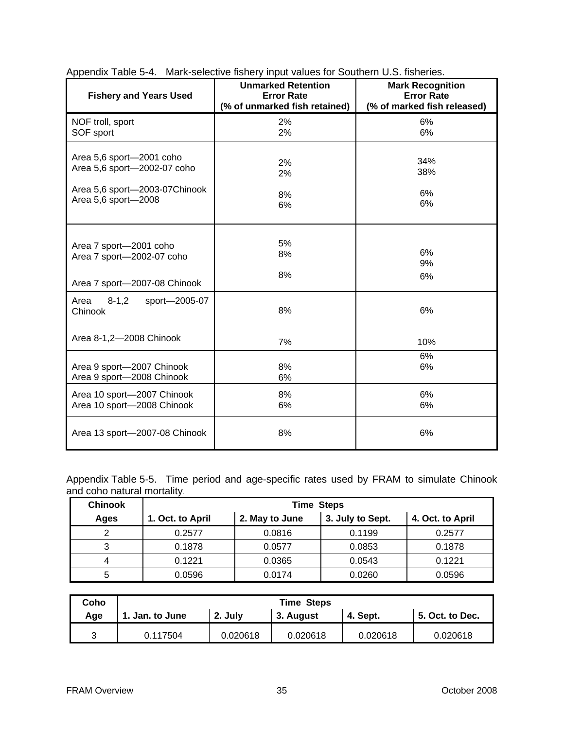| <b>Fishery and Years Used</b>                  | <b>Unmarked Retention</b><br><b>Error Rate</b><br>(% of unmarked fish retained) | <b>Mark Recognition</b><br><b>Error Rate</b><br>(% of marked fish released) |
|------------------------------------------------|---------------------------------------------------------------------------------|-----------------------------------------------------------------------------|
| NOF troll, sport                               | 2%                                                                              | 6%                                                                          |
| SOF sport                                      | 2%                                                                              | 6%                                                                          |
| Area 5,6 sport-2001 coho                       | 2%                                                                              | 34%                                                                         |
| Area 5,6 sport-2002-07 coho                    | 2%                                                                              | 38%                                                                         |
| Area 5,6 sport-2003-07Chinook                  | 8%                                                                              | 6%                                                                          |
| Area 5,6 sport-2008                            | 6%                                                                              | 6%                                                                          |
| Area 7 sport-2001 coho                         | 5%                                                                              | 6%                                                                          |
| Area 7 sport-2002-07 coho                      | 8%                                                                              | 9%                                                                          |
| Area 7 sport-2007-08 Chinook                   | 8%                                                                              | 6%                                                                          |
| $8 - 1, 2$<br>sport-2005-07<br>Area<br>Chinook | 8%                                                                              | 6%                                                                          |
| Area 8-1,2-2008 Chinook                        | 7%                                                                              | 10%                                                                         |
| Area 9 sport-2007 Chinook                      | 8%                                                                              | 6%                                                                          |
| Area 9 sport-2008 Chinook                      | 6%                                                                              | 6%                                                                          |
| Area 10 sport-2007 Chinook                     | 8%                                                                              | 6%                                                                          |
| Area 10 sport-2008 Chinook                     | 6%                                                                              | 6%                                                                          |
| Area 13 sport-2007-08 Chinook                  | 8%                                                                              | 6%                                                                          |

Appendix Table 5-4. Mark-selective fishery input values for Southern U.S. fisheries.

Appendix Table 5-5. Time period and age-specific rates used by FRAM to simulate Chinook and coho natural mortality.

| <b>Chinook</b> |                  | <b>Time Steps</b> |                  |                  |
|----------------|------------------|-------------------|------------------|------------------|
| Ages           | 1. Oct. to April | 2. May to June    | 3. July to Sept. | 4. Oct. to April |
|                | 0.2577           | 0.0816            | 0.1199           | 0.2577           |
| っ<br>د         | 0.1878           | 0.0577            | 0.0853           | 0.1878           |
| 4              | 0.1221           | 0.0365            | 0.0543           | 0.1221           |
| 5              | 0.0596           | 0.0174            | 0.0260           | 0.0596           |

| Coho |                 |          | <b>Time Steps</b> |          |                 |
|------|-----------------|----------|-------------------|----------|-----------------|
| Age  | 1. Jan. to June | 2. July  | 3. August         | 4. Sept. | 5. Oct. to Dec. |
|      | 0.117504        | 0.020618 | 0.020618          | 0.020618 | 0.020618        |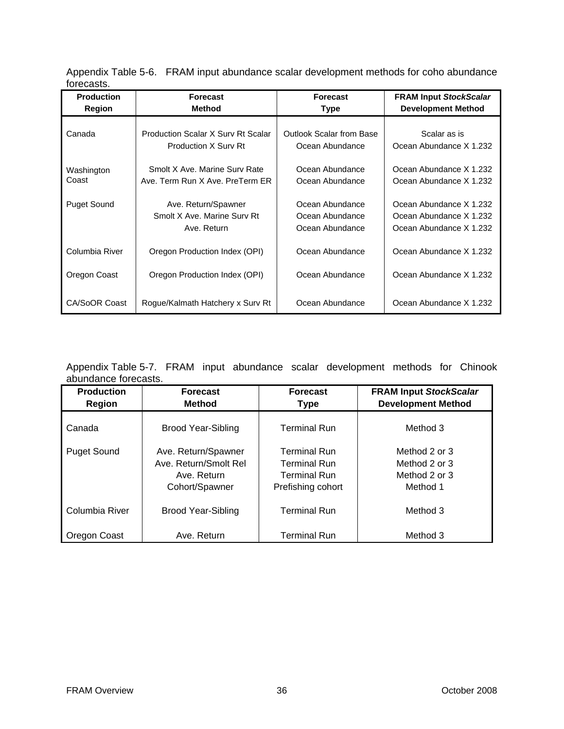Appendix Table 5-6. FRAM input abundance scalar development methods for coho abundance forecasts.

| <b>Production</b>   | <b>Forecast</b>                                                          | <b>Forecast</b>                                       | <b>FRAM Input StockScalar</b>                                                 |
|---------------------|--------------------------------------------------------------------------|-------------------------------------------------------|-------------------------------------------------------------------------------|
| Region              | <b>Method</b>                                                            | <b>Type</b>                                           | <b>Development Method</b>                                                     |
| Canada              | <b>Production Scalar X Sury Rt Scalar</b><br><b>Production X Sury Rt</b> | <b>Outlook Scalar from Base</b><br>Ocean Abundance    | Scalar as is<br>Ocean Abundance X 1.232                                       |
| Washington<br>Coast | Smolt X Ave. Marine Sury Rate<br>Ave. Term Run X Ave. PreTerm ER         | Ocean Abundance<br>Ocean Abundance                    | Ocean Abundance X 1.232<br>Ocean Abundance X 1.232                            |
| <b>Puget Sound</b>  | Ave. Return/Spawner<br>Smolt X Ave. Marine Sury Rt<br>Ave. Return        | Ocean Abundance<br>Ocean Abundance<br>Ocean Abundance | Ocean Abundance X 1.232<br>Ocean Abundance X 1.232<br>Ocean Abundance X 1.232 |
| Columbia River      | Oregon Production Index (OPI)                                            | Ocean Abundance                                       | Ocean Abundance X 1.232                                                       |
| Oregon Coast        | Oregon Production Index (OPI)                                            | Ocean Abundance                                       | Ocean Abundance X 1.232                                                       |
| CA/SoOR Coast       | Rogue/Kalmath Hatchery x Surv Rt                                         | Ocean Abundance                                       | Ocean Abundance X 1.232                                                       |

Appendix Table 5-7. FRAM input abundance scalar development methods for Chinook abundance forecasts.

| <b>Production</b><br><b>Region</b> | <b>Forecast</b><br><b>Method</b>                                              | <b>Forecast</b><br><b>Type</b>                                                         | <b>FRAM Input StockScalar</b><br><b>Development Method</b>  |
|------------------------------------|-------------------------------------------------------------------------------|----------------------------------------------------------------------------------------|-------------------------------------------------------------|
| Canada                             | Brood Year-Sibling                                                            | <b>Terminal Run</b>                                                                    | Method 3                                                    |
| <b>Puget Sound</b>                 | Ave. Return/Spawner<br>Ave. Return/Smolt Rel<br>Ave. Return<br>Cohort/Spawner | <b>Terminal Run</b><br><b>Terminal Run</b><br><b>Terminal Run</b><br>Prefishing cohort | Method 2 or 3<br>Method 2 or 3<br>Method 2 or 3<br>Method 1 |
| Columbia River                     | <b>Brood Year-Sibling</b>                                                     | <b>Terminal Run</b>                                                                    | Method 3                                                    |
| Oregon Coast                       | Ave. Return                                                                   | <b>Terminal Run</b>                                                                    | Method 3                                                    |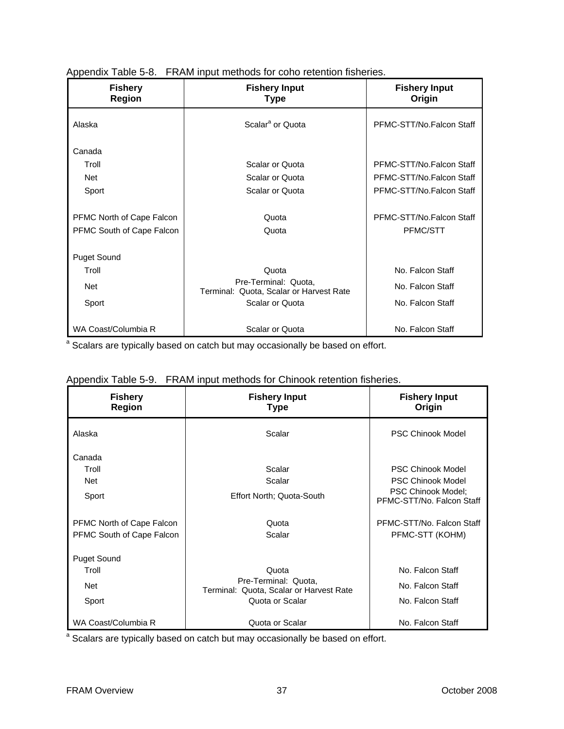| <b>Fishery</b><br><b>Region</b> | <b>Fishery Input</b><br><b>Type</b>                             | <b>Fishery Input</b><br>Origin |
|---------------------------------|-----------------------------------------------------------------|--------------------------------|
| Alaska                          | Scalar <sup>a</sup> or Quota                                    | PFMC-STT/No.Falcon Staff       |
| Canada                          |                                                                 |                                |
| Troll                           | Scalar or Quota                                                 | PFMC-STT/No.Falcon Staff       |
| <b>Net</b>                      | Scalar or Quota                                                 | PFMC-STT/No.Falcon Staff       |
| Sport                           | Scalar or Quota                                                 | PFMC-STT/No.Falcon Staff       |
| PFMC North of Cape Falcon       | Quota                                                           | PFMC-STT/No Falcon Staff       |
| PFMC South of Cape Falcon       | Quota                                                           | <b>PFMC/STT</b>                |
| <b>Puget Sound</b>              |                                                                 |                                |
| Troll                           | Quota                                                           | No. Falcon Staff               |
| Net                             | Pre-Terminal: Quota,<br>Terminal: Quota, Scalar or Harvest Rate | No. Falcon Staff               |
| Sport                           | Scalar or Quota                                                 | No. Falcon Staff               |
| WA Coast/Columbia R             | Scalar or Quota                                                 | No. Falcon Staff               |

Appendix Table 5-8. FRAM input methods for coho retention fisheries.

<sup>a</sup> Scalars are typically based on catch but may occasionally be based on effort.

| <b>Fishery</b><br><b>Region</b>                        | <b>Fishery Input</b><br><b>Type</b>                                                         | <b>Fishery Input</b><br>Origin                                                                          |
|--------------------------------------------------------|---------------------------------------------------------------------------------------------|---------------------------------------------------------------------------------------------------------|
| Alaska                                                 | Scalar                                                                                      | <b>PSC Chinook Model</b>                                                                                |
| Canada<br>Troll<br>Net<br>Sport                        | Scalar<br>Scalar<br>Effort North; Quota-South                                               | <b>PSC Chinook Model</b><br>PSC Chinook Model<br><b>PSC Chinook Model:</b><br>PFMC-STT/No. Falcon Staff |
| PFMC North of Cape Falcon<br>PFMC South of Cape Falcon | Quota<br>Scalar                                                                             | PFMC-STT/No. Falcon Staff<br>PFMC-STT (KOHM)                                                            |
| <b>Puget Sound</b><br>Troll<br>Net<br>Sport            | Quota<br>Pre-Terminal: Quota,<br>Terminal: Quota, Scalar or Harvest Rate<br>Quota or Scalar | No. Falcon Staff<br>No. Falcon Staff<br>No. Falcon Staff                                                |
| WA Coast/Columbia R                                    | Quota or Scalar                                                                             | No. Falcon Staff                                                                                        |

| Appendix Table 5-9. FRAM input methods for Chinook retention fisheries. |
|-------------------------------------------------------------------------|
|                                                                         |

<sup>a</sup> Scalars are typically based on catch but may occasionally be based on effort.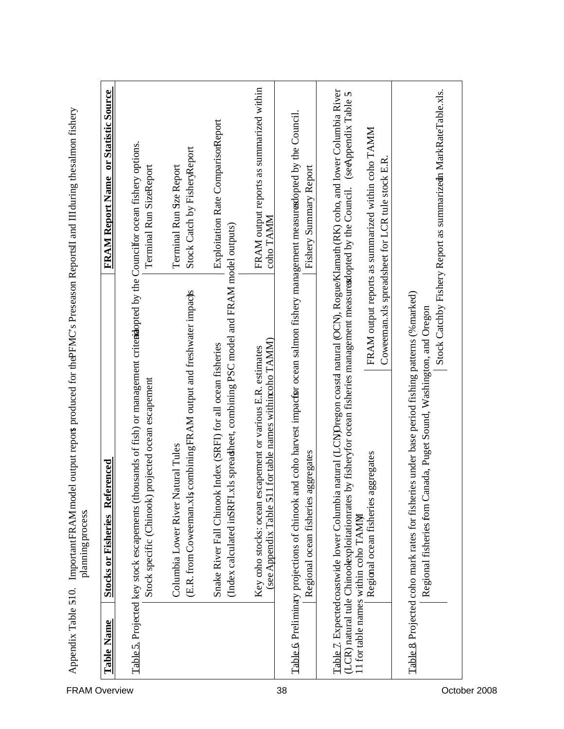| <b>FRAM Overview</b> | Table Name | Referenced<br>planning process<br><b>Stocks or Fisheries</b>                                                                                                                                                                                                                                                                                                       | or Statistic Source<br><b>FRAM Report Name</b>                                                         |
|----------------------|------------|--------------------------------------------------------------------------------------------------------------------------------------------------------------------------------------------------------------------------------------------------------------------------------------------------------------------------------------------------------------------|--------------------------------------------------------------------------------------------------------|
|                      |            | Table 5. Projected key stock escapements (thousands of fish) or management criteriopted by the Councilfor ocean fishery options.                                                                                                                                                                                                                                   |                                                                                                        |
|                      |            | Stock specific (Chinook) projected ocean escapement                                                                                                                                                                                                                                                                                                                | Terminal Run SizeReport                                                                                |
|                      |            | combiningFRAM output and freshwater impacts<br>Columbia Lower River Natural Tules<br>(E.R. from Coweeman.xls                                                                                                                                                                                                                                                       | Stock Catch by FisheryReport<br>Terminal Run Sze Report                                                |
|                      |            | (Index calculated inSRFI.xls spreadsheet, combining PSC model and FRAM model outputs)<br>Index (SRFI) for all ocean fisheries<br>Snake River Fall Chinook                                                                                                                                                                                                          | Exploitation Rate ComparisonReport                                                                     |
|                      |            | for table names withincoho TAMM)<br>Key coho stocks: ocean escapement or various E.R. estimates<br>(see Appendix Table 51)                                                                                                                                                                                                                                         | FRAM output reports as summarized within<br>coho TAMM                                                  |
| 38                   |            | Table 6 Preliminary projections of chinook and coho harvest impactor ocean salmon fishery management measurexlopted by the Council.<br>Regional ocean fisheries aggregates                                                                                                                                                                                         | Fishery Summary Report                                                                                 |
|                      |            | natural (LCN)Oregon coasta natural (OCN), Rogue/Klamath (RK) coho, and lower Columbia River<br>(LCR) natural tule Chinoolexploitationrates by fisheryfor ocean fisheries management measuresdopted by the Council. (seeAppendix Table 5<br>Regional ocean fisheries aggregates<br>Table 7. Expectedcoastwide lower Columbia<br>11 for table names within coho TAMM | FRAM output reports as summarized within coho TAMM<br>Coweeman.xls spreadsheet for LCR tule stock E.R. |
|                      |            | Table & Projected coho mark rates for fisheries under base period fishing patterns (%marked)<br>Regional fisheries fom Canada, Puget Sound, Washington, and Oregon                                                                                                                                                                                                 | Stock Catchby Fishery Report as summarizedn MarkRateTable.xls.                                         |
| October 2008         |            |                                                                                                                                                                                                                                                                                                                                                                    |                                                                                                        |